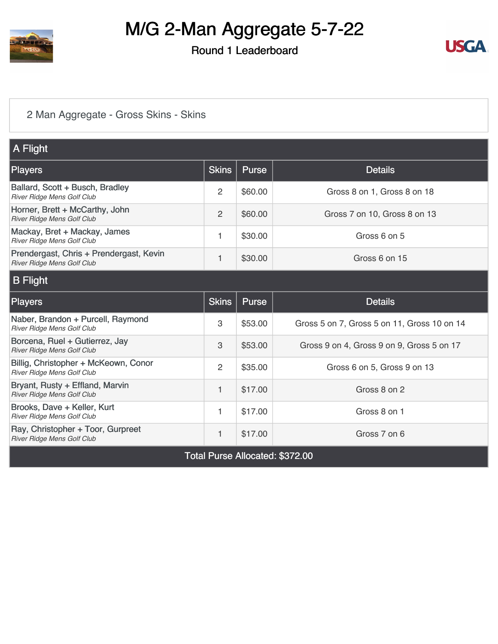

Round 1 Leaderboard



#### [2 Man Aggregate - Gross Skins - Skins](https://static.golfgenius.com/v2tournaments/8454596547718431648?called_from=&round_index=1)

| A Flight                                                                     |                |         |                                             |
|------------------------------------------------------------------------------|----------------|---------|---------------------------------------------|
| <b>Players</b>                                                               | <b>Skins</b>   | Purse   | <b>Details</b>                              |
| Ballard, Scott + Busch, Bradley<br>River Ridge Mens Golf Club                | 2              | \$60.00 | Gross 8 on 1, Gross 8 on 18                 |
| Horner, Brett + McCarthy, John<br>River Ridge Mens Golf Club                 | $\overline{2}$ | \$60.00 | Gross 7 on 10, Gross 8 on 13                |
| Mackay, Bret + Mackay, James<br><b>River Ridge Mens Golf Club</b>            | 1              | \$30.00 | Gross 6 on 5                                |
| Prendergast, Chris + Prendergast, Kevin<br><b>River Ridge Mens Golf Club</b> | 1              | \$30.00 | Gross 6 on 15                               |
| <b>B</b> Flight                                                              |                |         |                                             |
| <b>Players</b>                                                               | <b>Skins</b>   | Purse   | <b>Details</b>                              |
| Naber, Brandon + Purcell, Raymond<br>River Ridge Mens Golf Club              | 3              | \$53.00 | Gross 5 on 7, Gross 5 on 11, Gross 10 on 14 |
| Borcena, Ruel + Gutierrez, Jay<br>River Ridge Mens Golf Club                 | 3              | \$53.00 | Gross 9 on 4, Gross 9 on 9, Gross 5 on 17   |
| Billig, Christopher + McKeown, Conor<br>River Ridge Mens Golf Club           | 2              | \$35.00 | Gross 6 on 5, Gross 9 on 13                 |
| Bryant, Rusty + Effland, Marvin<br>River Ridge Mens Golf Club                | 1              | \$17.00 | Gross 8 on 2                                |
| Brooks, Dave + Keller, Kurt<br>River Ridge Mens Golf Club                    | 1              | \$17.00 | Gross 8 on 1                                |
| Ray, Christopher + Toor, Gurpreet<br>River Ridge Mens Golf Club              | 1              | \$17.00 | Gross 7 on 6                                |
|                                                                              |                |         | All I .J . MOJO OO                          |

Total Purse Allocated: \$372.00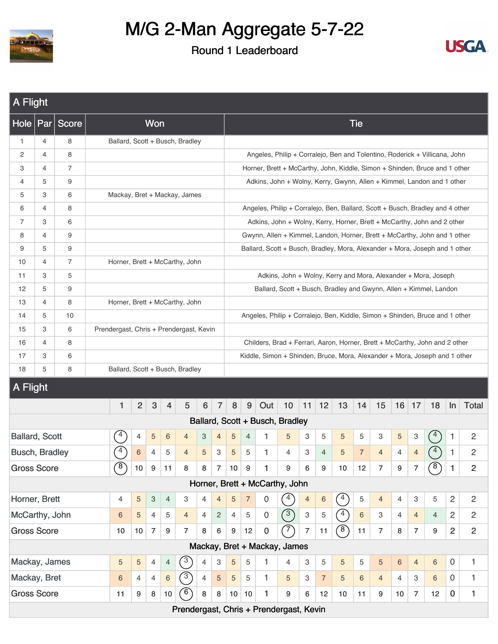



| A Flight              |                                                                                                                                                                                                                                                                                                                                                                                                                                                                                                                   |                |  |                |                 |                           |                |                                 |                |                |                 |                |                  |                                                                               |                |                |                              |                |                  |                |                |                 |                |                |
|-----------------------|-------------------------------------------------------------------------------------------------------------------------------------------------------------------------------------------------------------------------------------------------------------------------------------------------------------------------------------------------------------------------------------------------------------------------------------------------------------------------------------------------------------------|----------------|--|----------------|-----------------|---------------------------|----------------|---------------------------------|----------------|----------------|-----------------|----------------|------------------|-------------------------------------------------------------------------------|----------------|----------------|------------------------------|----------------|------------------|----------------|----------------|-----------------|----------------|----------------|
| Hole                  |                                                                                                                                                                                                                                                                                                                                                                                                                                                                                                                   | Par Score      |  |                |                 | Won                       |                |                                 |                |                |                 |                |                  |                                                                               |                |                |                              | <b>Tie</b>     |                  |                |                |                 |                |                |
| $\mathbf{1}$          | 4                                                                                                                                                                                                                                                                                                                                                                                                                                                                                                                 | 8              |  |                |                 |                           |                | Ballard, Scott + Busch, Bradley |                |                |                 |                |                  |                                                                               |                |                |                              |                |                  |                |                |                 |                |                |
| 2                     | 4                                                                                                                                                                                                                                                                                                                                                                                                                                                                                                                 | 8              |  |                |                 |                           |                |                                 |                |                |                 |                |                  | Angeles, Philip + Corralejo, Ben and Tolentino, Roderick + Villicana, John    |                |                |                              |                |                  |                |                |                 |                |                |
| 3                     | 4                                                                                                                                                                                                                                                                                                                                                                                                                                                                                                                 | $\overline{7}$ |  |                |                 |                           |                |                                 |                |                |                 |                |                  | Horner, Brett + McCarthy, John, Kiddle, Simon + Shinden, Bruce and 1 other    |                |                |                              |                |                  |                |                |                 |                |                |
| 4                     | 5                                                                                                                                                                                                                                                                                                                                                                                                                                                                                                                 | 9              |  |                |                 |                           |                |                                 |                |                |                 |                |                  | Adkins, John + Wolny, Kerry, Gwynn, Allen + Kimmel, Landon and 1 other        |                |                |                              |                |                  |                |                |                 |                |                |
| 5                     | 3                                                                                                                                                                                                                                                                                                                                                                                                                                                                                                                 | 6              |  |                |                 |                           |                | Mackay, Bret + Mackay, James    |                |                |                 |                |                  |                                                                               |                |                |                              |                |                  |                |                |                 |                |                |
| 6                     | 4                                                                                                                                                                                                                                                                                                                                                                                                                                                                                                                 | 8              |  |                |                 |                           |                |                                 |                |                |                 |                |                  | Angeles, Philip + Corralejo, Ben, Ballard, Scott + Busch, Bradley and 4 other |                |                |                              |                |                  |                |                |                 |                |                |
| 7                     | 3                                                                                                                                                                                                                                                                                                                                                                                                                                                                                                                 | 6              |  |                |                 |                           |                |                                 |                |                |                 |                |                  | Adkins, John + Wolny, Kerry, Horner, Brett + McCarthy, John and 2 other       |                |                |                              |                |                  |                |                |                 |                |                |
| 8                     | 4                                                                                                                                                                                                                                                                                                                                                                                                                                                                                                                 | 9              |  |                |                 |                           |                |                                 |                |                |                 |                |                  | Gwynn, Allen + Kimmel, Landon, Horner, Brett + McCarthy, John and 1 other     |                |                |                              |                |                  |                |                |                 |                |                |
| 9                     | 5                                                                                                                                                                                                                                                                                                                                                                                                                                                                                                                 | 9              |  |                |                 |                           |                |                                 |                |                |                 |                |                  | Ballard, Scott + Busch, Bradley, Mora, Alexander + Mora, Joseph and 1 other   |                |                |                              |                |                  |                |                |                 |                |                |
| 10                    | 4                                                                                                                                                                                                                                                                                                                                                                                                                                                                                                                 | $\overline{7}$ |  |                |                 |                           |                | Horner, Brett + McCarthy, John  |                |                |                 |                |                  |                                                                               |                |                |                              |                |                  |                |                |                 |                |                |
| 11                    | 3                                                                                                                                                                                                                                                                                                                                                                                                                                                                                                                 | 5              |  |                |                 |                           |                |                                 |                |                |                 |                |                  | Adkins, John + Wolny, Kerry and Mora, Alexander + Mora, Joseph                |                |                |                              |                |                  |                |                |                 |                |                |
| 12                    | 5                                                                                                                                                                                                                                                                                                                                                                                                                                                                                                                 | 9              |  |                |                 |                           |                |                                 |                |                |                 |                |                  | Ballard, Scott + Busch, Bradley and Gwynn, Allen + Kimmel, Landon             |                |                |                              |                |                  |                |                |                 |                |                |
| 13                    | 4                                                                                                                                                                                                                                                                                                                                                                                                                                                                                                                 | 8              |  |                |                 |                           |                | Horner, Brett + McCarthy, John  |                |                |                 |                |                  |                                                                               |                |                |                              |                |                  |                |                |                 |                |                |
| 14                    | 5                                                                                                                                                                                                                                                                                                                                                                                                                                                                                                                 | 10             |  |                |                 |                           |                |                                 |                |                |                 |                |                  |                                                                               |                |                |                              |                |                  |                |                |                 |                |                |
| 15                    | 3                                                                                                                                                                                                                                                                                                                                                                                                                                                                                                                 | 6              |  |                |                 |                           |                |                                 |                |                |                 |                |                  |                                                                               |                |                |                              |                |                  |                |                |                 |                |                |
| 16                    | 4                                                                                                                                                                                                                                                                                                                                                                                                                                                                                                                 | 8              |  |                |                 |                           |                |                                 |                |                |                 |                |                  |                                                                               |                |                |                              |                |                  |                |                |                 |                |                |
| 17                    | 3                                                                                                                                                                                                                                                                                                                                                                                                                                                                                                                 | 6              |  |                |                 |                           |                |                                 |                |                |                 |                |                  |                                                                               |                |                |                              |                |                  |                |                |                 |                |                |
| 18                    | 5                                                                                                                                                                                                                                                                                                                                                                                                                                                                                                                 | 8              |  |                |                 |                           |                |                                 |                |                |                 |                |                  |                                                                               |                |                |                              |                |                  |                |                |                 |                |                |
|                       | Angeles, Philip + Corralejo, Ben, Kiddle, Simon + Shinden, Bruce and 1 other<br>Prendergast, Chris + Prendergast, Kevin<br>Childers, Brad + Ferrari, Aaron, Horner, Brett + McCarthy, John and 2 other<br>Kiddle, Simon + Shinden, Bruce, Mora, Alexander + Mora, Joseph and 1 other<br>Ballard, Scott + Busch, Bradley<br>A Flight<br>3<br>$\overline{c}$<br>6<br>$\overline{7}$<br>$\boldsymbol{8}$<br>9<br>Out<br>10<br>11<br>12<br>13<br>15<br>$16$ 17<br>18<br>Total<br>1<br>$\overline{4}$<br>5<br>14<br>In |                |  |                |                 |                           |                |                                 |                |                |                 |                |                  |                                                                               |                |                |                              |                |                  |                |                |                 |                |                |
|                       |                                                                                                                                                                                                                                                                                                                                                                                                                                                                                                                   |                |  |                |                 |                           |                |                                 |                |                |                 |                |                  |                                                                               |                |                |                              |                |                  |                |                |                 |                |                |
|                       |                                                                                                                                                                                                                                                                                                                                                                                                                                                                                                                   |                |  |                |                 |                           |                |                                 |                |                |                 |                |                  | Ballard, Scott + Busch, Bradley                                               |                |                |                              |                |                  |                |                |                 |                |                |
| <b>Ballard, Scott</b> |                                                                                                                                                                                                                                                                                                                                                                                                                                                                                                                   |                |  | $\overline{a}$ | 4               | 5                         | 6              | 4                               | 3              | $\overline{4}$ | $\sqrt{5}$      | $\overline{4}$ | 1                | 5                                                                             | 3              | 5              | 5                            | 5              | 3                | 5              | 3              | $4^{\circ}$     | 1              | 2              |
| <b>Busch, Bradley</b> |                                                                                                                                                                                                                                                                                                                                                                                                                                                                                                                   |                |  | 4              | $6\phantom{1}6$ | 4                         | 5              | 4                               | 5              | 3              | 5               | 5              | 1                | 4                                                                             | 3              | $\overline{4}$ | 5                            | $\overline{7}$ | $\overline{4}$   | $\overline{4}$ | $\overline{4}$ | $4^{\circ}$     | 1              | $\overline{c}$ |
| <b>Gross Score</b>    |                                                                                                                                                                                                                                                                                                                                                                                                                                                                                                                   |                |  | $\circledast$  | 10              | $\boldsymbol{9}$          | 11             | 8                               | 8              | $\overline{7}$ | 10 <sub>1</sub> | 9              | 1                | 9                                                                             | 6              | 9              | 10                           | 12             | $\overline{7}$   | 9              | $\overline{7}$ | (8)             | 1              | $\overline{c}$ |
|                       |                                                                                                                                                                                                                                                                                                                                                                                                                                                                                                                   |                |  |                |                 |                           |                |                                 |                |                |                 |                |                  | Horner, Brett + McCarthy, John                                                |                |                |                              |                |                  |                |                |                 |                |                |
| Horner, Brett         |                                                                                                                                                                                                                                                                                                                                                                                                                                                                                                                   |                |  | 4              | 5               | $\ensuremath{\mathsf{3}}$ | $\overline{4}$ | 3                               | $\overline{4}$ | $\overline{4}$ | $\sqrt{5}$      | $\overline{7}$ | $\mathbf 0$      | $^{\prime}$ 4                                                                 | $\overline{4}$ | 6              | $\left( \frac{4}{3} \right)$ | 5              | $\overline{4}$   | $\overline{4}$ | $\mathbf{3}$   | 5               | $\overline{c}$ | $\overline{c}$ |
| McCarthy, John        |                                                                                                                                                                                                                                                                                                                                                                                                                                                                                                                   |                |  | 6              | 5               | 4                         | 5              | $\overline{4}$                  | $\overline{4}$ | $\overline{2}$ | $\overline{4}$  | 5              | $\boldsymbol{0}$ | $\binom{3}{}$                                                                 | 3              | 5              | $\curvearrowleft$            | $6\phantom{1}$ | 3                | $\overline{4}$ | $\overline{4}$ | $\overline{4}$  | $\overline{2}$ | $\overline{c}$ |
| <b>Gross Score</b>    |                                                                                                                                                                                                                                                                                                                                                                                                                                                                                                                   |                |  | 10             | 10              | $\overline{7}$            | 9              | $\overline{7}$                  | 8              | $6\phantom{1}$ | 9               | 12             | $\pmb{0}$        | F                                                                             | $\overline{7}$ | 11             | $\circledast$                | 11             | $\overline{7}$   | 8              | $\overline{7}$ | 9               | $\overline{2}$ | $\overline{2}$ |
|                       |                                                                                                                                                                                                                                                                                                                                                                                                                                                                                                                   |                |  |                |                 |                           |                |                                 |                |                |                 |                |                  | Mackay, Bret + Mackay, James                                                  |                |                |                              |                |                  |                |                |                 |                |                |
| Mackay, James         |                                                                                                                                                                                                                                                                                                                                                                                                                                                                                                                   |                |  | 5              | 5               | 4                         | $\overline{4}$ | $\binom{3}{ }$                  | $\overline{4}$ | 3              | 5               | 5              | 1                | 4                                                                             | 3              | 5              | $\overline{5}$               | 5              | 5                | 6              | $\overline{4}$ | $6\phantom{1}6$ | $\mathbf 0$    | 1              |
| Mackay, Bret          |                                                                                                                                                                                                                                                                                                                                                                                                                                                                                                                   |                |  | 6              | 4               | $\overline{4}$            | $\,$ 6 $\,$    | (3)                             | $\overline{4}$ | 5              | $\sqrt{5}$      | $\overline{5}$ | 1                | 5                                                                             | 3              | $\overline{7}$ | 5                            | 6              | $\overline{4}$   | $\overline{4}$ | 3              | 6               | $\overline{0}$ | 1              |
| <b>Gross Score</b>    |                                                                                                                                                                                                                                                                                                                                                                                                                                                                                                                   |                |  | 11             | 9               | 8                         | 10             | $\bigcirc$                      | 8              | 8              | 10 <sup>°</sup> | 10             | 1                | 9                                                                             | 6              | 12             | 10                           | 11             | $\boldsymbol{9}$ | 10             | $\overline{7}$ | 12              | $\mathbf 0$    | 1              |
|                       |                                                                                                                                                                                                                                                                                                                                                                                                                                                                                                                   |                |  |                |                 |                           |                |                                 |                |                |                 |                |                  | Prendergast, Chris + Prendergast, Kevin                                       |                |                |                              |                |                  |                |                |                 |                |                |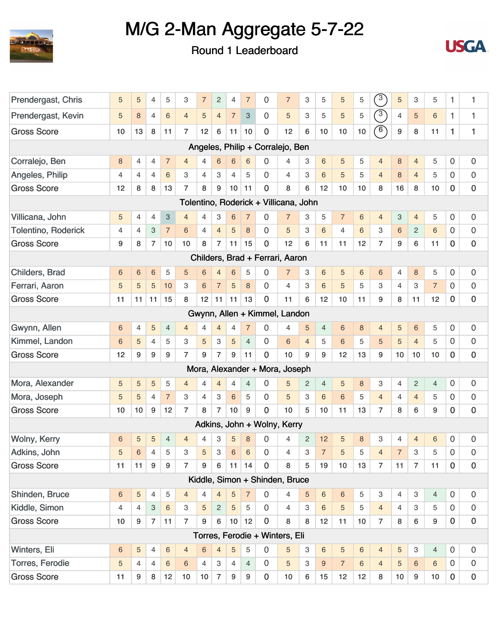



| Prendergast, Chris         | 5               | 5              | $\overline{4}$  | 5                         | 3              | $\overline{7}$ | $\sqrt{2}$     | $\overline{4}$  | $\overline{7}$            | 0              | $\overline{7}$                        | 3              | 5              | 5              | 5  | $\sqrt{3}$                  | $\sqrt{5}$     | 3              | 5               | 1              | 1                   |
|----------------------------|-----------------|----------------|-----------------|---------------------------|----------------|----------------|----------------|-----------------|---------------------------|----------------|---------------------------------------|----------------|----------------|----------------|----|-----------------------------|----------------|----------------|-----------------|----------------|---------------------|
| Prendergast, Kevin         | 5               | $\bf 8$        | $\overline{4}$  | 6                         | $\overline{4}$ | 5              | $\overline{4}$ | $\overline{7}$  | $\ensuremath{\mathsf{3}}$ | 0              | 5                                     | 3              | 5              | 5              | 5  | $\overline{(\overline{3})}$ | $\overline{4}$ | $\overline{5}$ | $6\phantom{1}6$ | $\mathbf{1}$   | $\mathbf{1}$        |
| <b>Gross Score</b>         | 10              | 13             | 8               | 11                        | 7              | 12             | 6              | 11              | 10                        | $\mathbf 0$    | 12                                    | 6              | 10             | 10             | 10 | $\circ$                     | 9              | 8              | 11              | 1              | $\mathbf{1}$        |
|                            |                 |                |                 |                           |                |                |                |                 |                           |                | Angeles, Philip + Corralejo, Ben      |                |                |                |    |                             |                |                |                 |                |                     |
| Corralejo, Ben             | 8               | 4              | $\overline{4}$  | $\overline{7}$            | $\overline{4}$ | 4              | 6              | 6               | 6                         | 0              | $\overline{4}$                        | 3              | $6\phantom{1}$ | 5              | 5  | $\overline{4}$              | 8              | $\overline{4}$ | 5               | 0              | 0                   |
| Angeles, Philip            | 4               | $\overline{4}$ | $\overline{4}$  | 6                         | 3              | $\overline{4}$ | 3              | $\overline{4}$  | 5                         | 0              | 4                                     | 3              | 6              | 5              | 5  | $\overline{4}$              | $\,8\,$        | $\overline{4}$ | 5               | 0              | $\mathsf{O}\xspace$ |
| <b>Gross Score</b>         | 12              | 8              | 8               | 13                        | 7              | 8              | 9              | 10              | 11                        | $\mathbf 0$    | 8                                     | 6              | 12             | 10             | 10 | 8                           | 16             | 8              | 10              | 0              | 0                   |
|                            |                 |                |                 |                           |                |                |                |                 |                           |                | Tolentino, Roderick + Villicana, John |                |                |                |    |                             |                |                |                 |                |                     |
| Villicana, John            | 5               | 4              | $\overline{4}$  | $\ensuremath{\mathsf{3}}$ | $\overline{4}$ | $\overline{4}$ | 3              | 6               | $\overline{7}$            | 0              | $\overline{7}$                        | 3              | 5              | $\overline{7}$ | 6  | $\overline{4}$              | 3              | $\overline{4}$ | 5               | 0              | 0                   |
| <b>Tolentino, Roderick</b> | 4               | $\overline{4}$ | 3               | $\overline{7}$            | 6              | $\overline{4}$ | $\overline{4}$ | 5               | 8                         | 0              | 5                                     | 3              | $6\phantom{1}$ | $\overline{4}$ | 6  | 3                           | $6\phantom{1}$ | 2              | 6               | 0              | $\mathsf{O}\xspace$ |
| <b>Gross Score</b>         | 9               | 8              | $\overline{7}$  | 10                        | 10             | 8              | 7              | 11              | 15                        | $\mathbf 0$    | 12                                    | 6              | 11             | 11             | 12 | $\overline{7}$              | 9              | 6              | 11              | 0              | 0                   |
|                            |                 |                |                 |                           |                |                |                |                 |                           |                | Childers, Brad + Ferrari, Aaron       |                |                |                |    |                             |                |                |                 |                |                     |
| Childers, Brad             | 6               | $\,$ 6 $\,$    | $6\phantom{1}6$ | 5                         | 5              | 6              | $\overline{4}$ | 6               | 5                         | 0              | $\overline{7}$                        | 3              | $6\,$          | 5              | 6  | $6\,$                       | $\overline{4}$ | 8              | 5               | 0              | 0                   |
| Ferrari, Aaron             | 5               | $\sqrt{5}$     | 5               | 10                        | 3              | 6              | $\overline{7}$ | 5               | $\,8\,$                   | 0              | 4                                     | 3              | $6\phantom{1}$ | 5              | 5  | 3                           | $\overline{4}$ | 3              | $\overline{7}$  | 0              | 0                   |
| <b>Gross Score</b>         | 11              | 11             | 11              | 15                        | 8              | 12             | 11             | 11              | 13                        | $\mathbf 0$    | 11                                    | 6              | 12             | 10             | 11 | 9                           | 8              | 11             | 12              | $\overline{0}$ | $\mathbf 0$         |
|                            |                 |                |                 |                           |                |                |                |                 |                           |                | Gwynn, Allen + Kimmel, Landon         |                |                |                |    |                             |                |                |                 |                |                     |
| Gwynn, Allen               | 6               | 4              | $\overline{5}$  | 4                         | $\overline{4}$ | $\overline{4}$ | $\overline{4}$ | $\overline{4}$  | $\overline{7}$            | 0              | 4                                     | 5              | $\overline{4}$ | 6              | 8  | $\overline{4}$              | 5              | $\,$ 6 $\,$    | 5               | 0              | 0                   |
| Kimmel, Landon             | 6               | 5              | $\overline{4}$  | 5                         | 3              | 5              | 3              | 5               | $\overline{4}$            | $\Omega$       | 6                                     | $\overline{4}$ | 5              | 6              | 5  | 5                           | $\overline{5}$ | $\overline{4}$ | 5               | 0              | 0                   |
| <b>Gross Score</b>         | 12              | 9              | $9\,$           | 9                         | $\overline{7}$ | 9              | $\overline{7}$ | 9               | 11                        | $\mathbf 0$    | 10                                    | 9              | 9              | 12             | 13 | 9                           | 10             | 10             | 10              | $\mathbf{O}$   | 0                   |
|                            |                 |                |                 |                           |                |                |                |                 |                           |                | Mora, Alexander + Mora, Joseph        |                |                |                |    |                             |                |                |                 |                |                     |
| Mora, Alexander            | 5               | $\sqrt{5}$     | $\overline{5}$  | 5                         | $\overline{4}$ | 4              | $\overline{4}$ | $\overline{4}$  | $\overline{4}$            | 0              | 5                                     | $\overline{c}$ | $\overline{4}$ | 5              | 8  | З                           | 4              | $\overline{c}$ | $\overline{4}$  | $\mathsf{O}$   | 0                   |
| Mora, Joseph               | 5               | 5              | $\overline{4}$  | $\overline{7}$            | 3              | $\overline{4}$ | 3              | $6\phantom{1}$  | 5                         | 0              | 5                                     | 3              | 6              | 6              | 5  | $\overline{4}$              | $\overline{4}$ | $\overline{4}$ | 5               | 0              | $\mathsf{O}\xspace$ |
| <b>Gross Score</b>         | 10              | 10             | 9               | 12                        | $\overline{7}$ | 8              | $\overline{7}$ | 10              | 9                         | $\mathbf 0$    | 10                                    | 5              | 10             | 11             | 13 | $\overline{7}$              | 8              | 6              | 9               | 0              | 0                   |
|                            |                 |                |                 |                           |                |                |                |                 |                           |                | Adkins, John + Wolny, Kerry           |                |                |                |    |                             |                |                |                 |                |                     |
| Wolny, Kerry               | 6               | 5              | 5               | $\overline{4}$            | $\overline{4}$ | 4              | 3              | 5               | 8                         | 0              | $\overline{4}$                        | $\overline{2}$ | 12             | 5              | 8  | 3                           | 4              | $\overline{4}$ | $6\phantom{1}6$ | 0              | 0                   |
| Adkins, John               | 5               | 6              | 4               | 5                         | 3              | 5              | 3              | 6               | 6                         | $\Omega$       | 4                                     | 3              | 7              | 5              | 5  | 4                           | 7              | 3              | 5               | 0              | $\Omega$            |
| <b>Gross Score</b>         | 11              | 11             | 9               | 9                         | $\overline{7}$ | 9              | 6              | 11              | 14                        | 0              | 8                                     | 5              | 19             | 10             | 13 | $\overline{7}$              | 11             | $\overline{7}$ | 11              | $\mathbf 0$    | 0                   |
|                            |                 |                |                 |                           |                |                |                |                 |                           |                | Kiddle, Simon + Shinden, Bruce        |                |                |                |    |                             |                |                |                 |                |                     |
| Shinden, Bruce             | 6               | $\sqrt{5}$     | $\overline{4}$  | 5                         | $\overline{4}$ | $\overline{4}$ | $\overline{4}$ | 5               | $\overline{7}$            | 0              | 4                                     | 5              | 6              | 6              | 5  | 3                           | 4              | 3              | 4               | $\overline{0}$ | $\boldsymbol{0}$    |
| Kiddle, Simon              | 4               | 4              | 3               | $6\phantom{1}$            | 3              | 5              | $\mathbf{2}$   | 5               | 5                         | $\overline{0}$ | 4                                     | 3              | 6              | 5              | 5  | $\overline{4}$              | 4              | 3              | 5               | $\overline{0}$ | 0                   |
| <b>Gross Score</b>         | 10              | 9              | $\overline{7}$  | 11                        | $\overline{7}$ | 9              | 6              | 10 <sub>1</sub> | 12                        | $\mathbf 0$    | 8                                     | 8              | 12             | 11             | 10 | $\overline{7}$              | 8              | 6              | 9               | $\mathbf 0$    | $\pmb{0}$           |
|                            |                 |                |                 |                           |                |                |                |                 |                           |                | Torres, Ferodie + Winters, Eli        |                |                |                |    |                             |                |                |                 |                |                     |
| Winters, Eli               | $6\phantom{.}6$ | $\sqrt{5}$     | 4               | $\,6\,$                   | $\overline{4}$ | 6              | $\overline{4}$ | 5               | 5                         | $\Omega$       | 5                                     | 3              | 6              | 5              | 6  | $\overline{4}$              | $\sqrt{5}$     | $\mathbf{3}$   | $\overline{4}$  | $\overline{0}$ | $\mathsf{O}\xspace$ |
| Torres, Ferodie            | 5               | 4              | $\overline{4}$  | $6\phantom{1}6$           | 6              | 4              | 3              | $\overline{4}$  | $\overline{4}$            | 0              | 5                                     | 3              | 9              | $\overline{7}$ | 6  | $\overline{4}$              | $\sqrt{5}$     | 6              | $\,6$           | 0              | 0                   |
| <b>Gross Score</b>         | 11              | 9              | 8               | 12                        | 10             | 10             | $\overline{7}$ | 9               | 9                         | $\pmb{0}$      | 10                                    | 6              | 15             | 12             | 12 | 8                           | $10$           | 9              | $10$            | 0              | $\pmb{0}$           |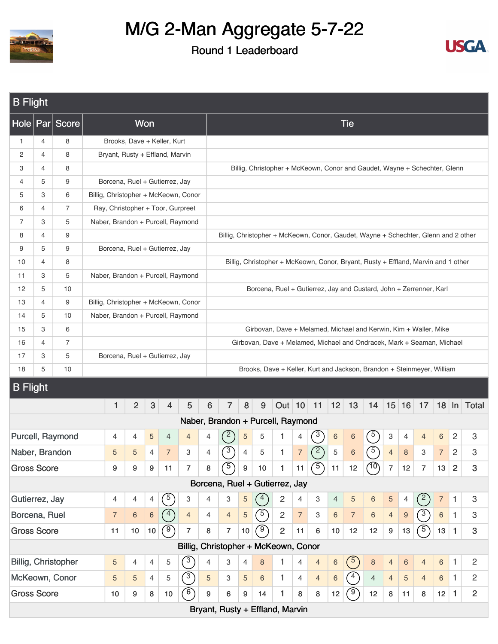



| <b>B</b> Flight                                                                        |                                                                                                                                                                                                                                                                                 |                            |  |                |                |                  |                                   |                                      |                |                                      |                  |                                                                                    |                |                |                |                |                  |                |                |                |                |                |                         |                           |
|----------------------------------------------------------------------------------------|---------------------------------------------------------------------------------------------------------------------------------------------------------------------------------------------------------------------------------------------------------------------------------|----------------------------|--|----------------|----------------|------------------|-----------------------------------|--------------------------------------|----------------|--------------------------------------|------------------|------------------------------------------------------------------------------------|----------------|----------------|----------------|----------------|------------------|----------------|----------------|----------------|----------------|----------------|-------------------------|---------------------------|
|                                                                                        |                                                                                                                                                                                                                                                                                 | Hole   Par   Score         |  |                |                | Won              |                                   |                                      |                |                                      |                  |                                                                                    |                |                |                |                | <b>Tie</b>       |                |                |                |                |                |                         |                           |
| 1                                                                                      | $\overline{4}$                                                                                                                                                                                                                                                                  | 8                          |  |                |                |                  | Brooks, Dave + Keller, Kurt       |                                      |                |                                      |                  |                                                                                    |                |                |                |                |                  |                |                |                |                |                |                         |                           |
| 2                                                                                      | $\overline{4}$                                                                                                                                                                                                                                                                  | 8                          |  |                |                |                  | Bryant, Rusty + Effland, Marvin   |                                      |                |                                      |                  |                                                                                    |                |                |                |                |                  |                |                |                |                |                |                         |                           |
| 3                                                                                      | $\overline{4}$                                                                                                                                                                                                                                                                  | 8                          |  |                |                |                  |                                   |                                      |                |                                      |                  | Billig, Christopher + McKeown, Conor and Gaudet, Wayne + Schechter, Glenn          |                |                |                |                |                  |                |                |                |                |                |                         |                           |
| 4                                                                                      | 5                                                                                                                                                                                                                                                                               | 9                          |  |                |                |                  | Borcena, Ruel + Gutierrez, Jay    |                                      |                |                                      |                  |                                                                                    |                |                |                |                |                  |                |                |                |                |                |                         |                           |
| 5                                                                                      | 3                                                                                                                                                                                                                                                                               | 6                          |  |                |                |                  |                                   | Billig, Christopher + McKeown, Conor |                |                                      |                  |                                                                                    |                |                |                |                |                  |                |                |                |                |                |                         |                           |
| 6                                                                                      | 4                                                                                                                                                                                                                                                                               | 7                          |  |                |                |                  | Ray, Christopher + Toor, Gurpreet |                                      |                |                                      |                  |                                                                                    |                |                |                |                |                  |                |                |                |                |                |                         |                           |
| 7                                                                                      | 3                                                                                                                                                                                                                                                                               | 5                          |  |                |                |                  |                                   | Naber, Brandon + Purcell, Raymond    |                |                                      |                  |                                                                                    |                |                |                |                |                  |                |                |                |                |                |                         |                           |
| 8                                                                                      | $\overline{4}$                                                                                                                                                                                                                                                                  | 9                          |  |                |                |                  |                                   |                                      |                |                                      |                  | Billig, Christopher + McKeown, Conor, Gaudet, Wayne + Schechter, Glenn and 2 other |                |                |                |                |                  |                |                |                |                |                |                         |                           |
| 9                                                                                      | 5                                                                                                                                                                                                                                                                               | 9                          |  |                |                |                  | Borcena, Ruel + Gutierrez, Jay    |                                      |                |                                      |                  |                                                                                    |                |                |                |                |                  |                |                |                |                |                |                         |                           |
| 10                                                                                     | $\overline{4}$                                                                                                                                                                                                                                                                  | 8                          |  |                |                |                  |                                   |                                      |                |                                      |                  | Billig, Christopher + McKeown, Conor, Bryant, Rusty + Effland, Marvin and 1 other  |                |                |                |                |                  |                |                |                |                |                |                         |                           |
| 11                                                                                     | 3                                                                                                                                                                                                                                                                               | 5                          |  |                |                |                  |                                   | Naber, Brandon + Purcell, Raymond    |                |                                      |                  |                                                                                    |                |                |                |                |                  |                |                |                |                |                |                         |                           |
| 12                                                                                     | 5<br>10<br>Borcena, Ruel + Gutierrez, Jay and Custard, John + Zerrenner, Karl<br>9<br>Billig, Christopher + McKeown, Conor<br>13<br>4<br>5<br>10<br>Naber, Brandon + Purcell, Raymond<br>14<br>3<br>6<br>15<br>Girbovan, Dave + Melamed, Michael and Kerwin, Kim + Waller, Mike |                            |  |                |                |                  |                                   |                                      |                |                                      |                  |                                                                                    |                |                |                |                |                  |                |                |                |                |                |                         |                           |
| 7<br>Girbovan, Dave + Melamed, Michael and Ondracek, Mark + Seaman, Michael<br>16<br>4 |                                                                                                                                                                                                                                                                                 |                            |  |                |                |                  |                                   |                                      |                |                                      |                  |                                                                                    |                |                |                |                |                  |                |                |                |                |                |                         |                           |
|                                                                                        |                                                                                                                                                                                                                                                                                 |                            |  |                |                |                  |                                   |                                      |                |                                      |                  |                                                                                    |                |                |                |                |                  |                |                |                |                |                |                         |                           |
|                                                                                        | 3<br>5<br>17<br>Borcena, Ruel + Gutierrez, Jay                                                                                                                                                                                                                                  |                            |  |                |                |                  |                                   |                                      |                |                                      |                  |                                                                                    |                |                |                |                |                  |                |                |                |                |                |                         |                           |
|                                                                                        |                                                                                                                                                                                                                                                                                 |                            |  |                |                |                  |                                   |                                      |                |                                      |                  |                                                                                    |                |                |                |                |                  |                |                |                |                |                |                         |                           |
|                                                                                        | 5<br>10<br>Brooks, Dave + Keller, Kurt and Jackson, Brandon + Steinmeyer, William<br>18                                                                                                                                                                                         |                            |  |                |                |                  |                                   |                                      |                |                                      |                  |                                                                                    |                |                |                |                |                  |                |                |                |                |                |                         |                           |
|                                                                                        |                                                                                                                                                                                                                                                                                 |                            |  |                |                |                  |                                   |                                      |                |                                      |                  |                                                                                    |                |                |                |                |                  |                |                |                |                |                |                         |                           |
| <b>B</b> Flight                                                                        |                                                                                                                                                                                                                                                                                 |                            |  |                |                |                  |                                   |                                      |                |                                      |                  |                                                                                    |                |                |                |                |                  |                |                |                |                |                |                         |                           |
|                                                                                        |                                                                                                                                                                                                                                                                                 |                            |  | 1              | $\overline{2}$ | 3                | $\overline{4}$                    | 5                                    | 6              | $\overline{7}$                       | 8                | 9                                                                                  | Out   10   11  |                |                | 12             | 13               | 14             |                | 15 16          | 17             |                |                         | 18 In Total               |
|                                                                                        |                                                                                                                                                                                                                                                                                 |                            |  |                |                |                  |                                   |                                      |                | Naber, Brandon + Purcell, Raymond    |                  |                                                                                    |                |                |                |                |                  |                |                |                |                |                |                         |                           |
|                                                                                        |                                                                                                                                                                                                                                                                                 | Purcell, Raymond           |  | 4              | 4              | $\sqrt{5}$       | 4                                 | $\overline{4}$                       | 4              | $\left(2\right)$                     | $\sqrt{5}$       | 5                                                                                  | 1              | 4              | $\sqrt{3}$     | $\,$ 6 $\,$    | 6                | $\sqrt{5}$     | 3              | $\overline{4}$ | $\overline{4}$ | 6              | $\overline{c}$          | 3                         |
| Naber, Brandon                                                                         |                                                                                                                                                                                                                                                                                 |                            |  | 5              | 5              | 4                | $\overline{7}$                    | 3                                    | 4              | 3                                    | $\overline{4}$   | 5                                                                                  | 1              | $\overline{7}$ | $\widehat{2}$  | 5              | 6                | $\sqrt{5}$     | $\overline{4}$ | 8              | 3              | $\overline{7}$ | $\overline{\mathbf{c}}$ | 3                         |
| <b>Gross Score</b>                                                                     |                                                                                                                                                                                                                                                                                 |                            |  | 9              | 9              | $\boldsymbol{9}$ | 11                                | $\overline{7}$                       | 8              | (5)                                  | $\boldsymbol{9}$ | $10$                                                                               | $\mathbf{1}$   | 11             | (5)            | 11             | 12               | (10)           | $\overline{7}$ | 12             | $\overline{7}$ | 13             | $\overline{2}$          | 3                         |
|                                                                                        |                                                                                                                                                                                                                                                                                 |                            |  |                |                |                  |                                   |                                      |                | Borcena, Ruel + Gutierrez, Jay       |                  |                                                                                    |                |                |                |                |                  |                |                |                |                |                |                         |                           |
| Gutierrez, Jay                                                                         |                                                                                                                                                                                                                                                                                 |                            |  | $\overline{4}$ | 4              | 4                | $\sqrt{5}$                        | 3                                    | 4              | 3                                    | 5                | $\binom{4}{ }$                                                                     | $\sqrt{2}$     | $\overline{4}$ | 3              | $\overline{4}$ | 5                | $\,6\,$        | $\sqrt{5}$     | 4              | (2)            | $\overline{7}$ | $\mathbf{1}$            | $\ensuremath{\mathsf{3}}$ |
| Borcena, Ruel                                                                          |                                                                                                                                                                                                                                                                                 |                            |  | $\sqrt{7}$     | $\,6$          | $\,6\,$          | $\binom{4}{ }$                    | $\overline{4}$                       | $\overline{4}$ | $\overline{4}$                       | $\overline{5}$   | $\binom{5}{ }$                                                                     | $\overline{c}$ | $\overline{7}$ | 3              | $6\phantom{1}$ | $\overline{7}$   | $\,6\,$        | $\overline{4}$ | $9\,$          | (3)            | $\,6$          | 1.                      | 3                         |
| <b>Gross Score</b>                                                                     |                                                                                                                                                                                                                                                                                 |                            |  | 11             | 10             | $10$             | $\mathcal{F}$                     | $\overline{7}$                       | 8              | $\overline{7}$                       | 10               | $\left(9\right)$                                                                   | $\overline{2}$ | 11             | 6              | 10             | 12               | 12             | 9              | 13             | (5)            | 13             | $\mathbf{1}$            | $\mathbf{3}$              |
|                                                                                        |                                                                                                                                                                                                                                                                                 |                            |  |                |                |                  |                                   |                                      |                | Billig, Christopher + McKeown, Conor |                  |                                                                                    |                |                |                |                |                  |                |                |                |                |                |                         |                           |
|                                                                                        |                                                                                                                                                                                                                                                                                 | <b>Billig, Christopher</b> |  | 5              | 4              | $\overline{4}$   | 5                                 | $\binom{3}{ }$                       | 4              | 3                                    | 4                | 8                                                                                  | 1              | $\overline{4}$ | $\overline{4}$ | $6\,$          | $\binom{5}{ }$   | $\,8\,$        | $\overline{4}$ | $\,6\,$        | $\overline{4}$ | $\,6\,$        | $\mathbf{1}$            | $\overline{c}$            |
|                                                                                        |                                                                                                                                                                                                                                                                                 | McKeown, Conor             |  | 5              | 5              | $\overline{4}$   | 5                                 | $\circled{3}$                        | 5              | 3                                    | 5                | 6                                                                                  | $\mathbf{1}$   | $\overline{4}$ | $\overline{4}$ | $\,6\,$        | $\left(4\right)$ | $\overline{4}$ | $\overline{4}$ | $\overline{5}$ | $\overline{4}$ | 6              | $\mathbf{1}$            | $\overline{2}$            |
| <b>Gross Score</b>                                                                     |                                                                                                                                                                                                                                                                                 |                            |  | 10             | 9              | 8                | 10                                | $\circ$                              | 9              | 6                                    | $\boldsymbol{9}$ | 14                                                                                 | 1              | 8              | 8              | 12             | (9)              | 12             | 8              | 11             | 8              | 12             | $\mathbf{1}$            | $\overline{2}$            |
|                                                                                        |                                                                                                                                                                                                                                                                                 |                            |  |                |                |                  |                                   |                                      |                | Bryant, Rusty + Effland, Marvin      |                  |                                                                                    |                |                |                |                |                  |                |                |                |                |                |                         |                           |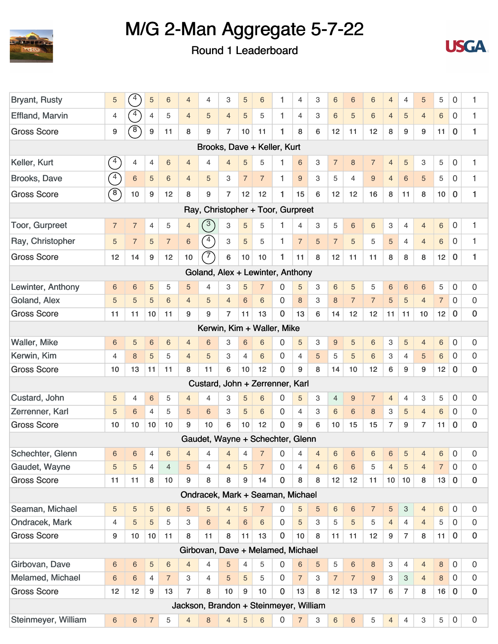



| <b>Bryant, Rusty</b>   | 5              | 4              | 5                | 6               | $\overline{4}$ | 4                                      | 3              | 5              | 6              | 1              | $\overline{4}$ | 3                       | 6              | 6                | 6              | $\overline{4}$ | $\overline{4}$ | 5               | 5              | 0                | 1                |
|------------------------|----------------|----------------|------------------|-----------------|----------------|----------------------------------------|----------------|----------------|----------------|----------------|----------------|-------------------------|----------------|------------------|----------------|----------------|----------------|-----------------|----------------|------------------|------------------|
| <b>Effland, Marvin</b> | 4              | $\sqrt{4}$     | 4                | 5               | $\overline{4}$ | 5                                      | $\overline{4}$ | 5              | 5              | 1              | 4              | 3                       | 6              | 5                | $6\phantom{1}$ | $\overline{4}$ | 5              | $\overline{4}$  | 6              | 0                | 1                |
| <b>Gross Score</b>     | 9              | $\circledast$  | $\boldsymbol{9}$ | 11              | 8              | 9                                      | $\overline{7}$ | 10             | 11             | 1              | 8              | 6                       | 12             | 11               | 12             | 8              | 9              | 9               | 11             | $\mathbf 0$      | 1                |
|                        |                |                |                  |                 |                | Brooks, Dave + Keller, Kurt            |                |                |                |                |                |                         |                |                  |                |                |                |                 |                |                  |                  |
| Keller, Kurt           | $\binom{4}{ }$ | 4              | 4                | 6               | $\overline{4}$ | 4                                      | $\overline{4}$ | 5              | 5              | 1              | 6              | 3                       | $\overline{7}$ | $\bf 8$          | $\overline{7}$ | 4              | 5              | 3               | 5              | 0                | 1                |
| Brooks, Dave           | $\binom{4}{ }$ | $\,$ 6 $\,$    | 5                | 6               | $\overline{4}$ | 5                                      | 3              | $\overline{7}$ | $\overline{7}$ | 1              | 9              | 3                       | 5              | $\overline{4}$   | $9\,$          | $\overline{4}$ | 6              | $\overline{5}$  | 5              | 0                | 1                |
| <b>Gross Score</b>     | $\circledcirc$ | 10             | 9                | 12              | 8              | 9                                      | $\overline{7}$ | 12             | 12             | 1              | 15             | 6                       | 12             | 12               | 16             | 8              | 11             | 8               | 10             | $\mathbf 0$      | 1                |
|                        |                |                |                  |                 |                | Ray, Christopher + Toor, Gurpreet      |                |                |                |                |                |                         |                |                  |                |                |                |                 |                |                  |                  |
| <b>Toor, Gurpreet</b>  | $\overline{7}$ | $\overline{7}$ | 4                | 5               | $\overline{4}$ | $\binom{3}{ }$                         | 3              | 5              | 5              | 1              | 4              | 3                       | 5              | 6                | $\,$ 6         | 3              | 4              | $\overline{4}$  | $\,6$          | $\boldsymbol{0}$ | $\mathbf{1}$     |
| Ray, Christopher       | 5              | $\overline{7}$ | 5                | $\overline{7}$  | 6              | $\sqrt{4}$                             | 3              | 5              | 5              | 1              | $\overline{7}$ | 5                       | $\overline{7}$ | 5                | 5              | 5              | $\overline{4}$ | $\overline{4}$  | $6\,$          | 0                | 1                |
| <b>Gross Score</b>     | 12             | 14             | 9                | 12              | 10             | $\widehat{7}$                          | 6              | 10             | 10             | 1              | 11             | 8                       | 12             | 11               | 11             | 8              | 8              | 8               | 12             | $\mathbf 0$      | 1                |
|                        |                |                |                  |                 |                | Goland, Alex + Lewinter, Anthony       |                |                |                |                |                |                         |                |                  |                |                |                |                 |                |                  |                  |
| Lewinter, Anthony      | 6              | 6              | 5                | 5               | 5              | 4                                      | 3              | 5              | $\overline{7}$ | 0              | 5              | 3                       | 6              | 5                | 5              | 6              | $\,$ 6 $\,$    | $6\phantom{1}6$ | 5              | 0                | $\mathbf 0$      |
| Goland, Alex           | 5              | 5              | 5                | 6               | $\overline{4}$ | 5                                      | $\overline{4}$ | 6              | 6              | $\Omega$       | 8              | 3                       | 8              | $\overline{7}$   | $\overline{7}$ | 5              | 5              | $\overline{4}$  | $\overline{7}$ | 0                | 0                |
| <b>Gross Score</b>     | 11             | 11             | 10               | 11              | 9              | 9                                      | $\overline{7}$ | 11             | 13             | $\bf{0}$       | 13             | 6                       | 14             | 12               | 12             | 11             | 11             | 10              | 12             | $\mathbf 0$      | $\mathbf 0$      |
|                        |                |                |                  |                 |                | Kerwin, Kim + Waller, Mike             |                |                |                |                |                |                         |                |                  |                |                |                |                 |                |                  |                  |
| <b>Waller, Mike</b>    | 6              | 5              | $\,$ 6 $\,$      | 6               | $\overline{4}$ | 6                                      | 3              | 6              | 6              | 0              | 5              | 3                       | 9              | 5                | 6              | 3              | 5              | $\overline{4}$  | 6              | 0                | 0                |
| Kerwin, Kim            | $\overline{4}$ | 8              | 5                | 5               | $\overline{4}$ | 5                                      | 3              | $\overline{4}$ | 6              | $\overline{0}$ | $\overline{4}$ | 5                       | 5              | 5                | $6\phantom{1}$ | 3              | $\overline{4}$ | $\overline{5}$  | $\,$ 6 $\,$    | 0                | $\mathbf 0$      |
| <b>Gross Score</b>     | 10             | 13             | 11               | 11              | 8              | 11                                     | 6              | 10             | 12             | $\mathbf 0$    | 9              | 8                       | 14             | 10               | 12             | 6              | 9              | 9               | 12             | 0                | $\mathbf 0$      |
|                        |                |                |                  |                 |                | Custard, John + Zerrenner, Karl        |                |                |                |                |                |                         |                |                  |                |                |                |                 |                |                  |                  |
| Custard, John          | 5              | 4              | 6                | 5               | $\overline{4}$ | 4                                      | 3              | 5              | 6              | $\Omega$       | 5              | 3                       | $\overline{4}$ | $\boldsymbol{9}$ | $\overline{7}$ | $\overline{4}$ | 4              | 3               | 5              | 0                | 0                |
| Zerrenner, Karl        | 5              | 6              | 4                | 5               | 5              | 6                                      | 3              | 5              | 6              | 0              | 4              | 3                       | $6\,$          | $\,6$            | $\,8\,$        | 3              | 5              | $\overline{4}$  | $6\,$          | 0                | 0                |
| <b>Gross Score</b>     | 10             | 10             | 10               | 10              | 9              | 10                                     | 6              | 10             | 12             | $\Omega$       | 9              | 6                       | 10             | 15               | 15             | $\overline{7}$ | 9              | $\overline{7}$  | 11             | 0                | $\mathbf 0$      |
|                        |                |                |                  |                 |                | Gaudet, Wayne + Schechter, Glenn       |                |                |                |                |                |                         |                |                  |                |                |                |                 |                |                  |                  |
| Schechter, Glenn       | 6              | 6              | 4                | $6\overline{6}$ | $\overline{4}$ | $\overline{4}$                         |                |                |                |                |                | $0 \t 4 \t 4 \t 6 \t 6$ |                |                  | $\,$ 6 $\,$    | 6              | 5              |                 | $6\phantom{a}$ | $\mathbf 0$      | $\mathbf 0$      |
| Gaudet, Wayne          | 5              | 5              | $\overline{4}$   | $\overline{4}$  | 5              | 4                                      | $\overline{4}$ | 5              | $\overline{7}$ | $\mathbf 0$    | $\overline{4}$ | $\overline{4}$          | 6              | 6                | 5              | $\overline{4}$ | 5              | $\overline{4}$  | $\overline{7}$ | $\overline{0}$   | 0                |
| <b>Gross Score</b>     | 11             | 11             | $\bf8$           | 10              | 9              | 8                                      | 8              | 9              | 14             | $\bf{0}$       | 8              | 8                       | 12             | 12               | 11             | 10             | 10             | 8               | 13             | $\mathbf 0$      | $\mathbf 0$      |
|                        |                |                |                  |                 |                | Ondracek, Mark + Seaman, Michael       |                |                |                |                |                |                         |                |                  |                |                |                |                 |                |                  |                  |
| Seaman, Michael        | 5              | 5              | 5                | 6               | 5              | 5                                      | $\overline{4}$ | 5              | $\overline{7}$ | 0              | 5              | 5                       | 6              | 6                | $\overline{7}$ | $\overline{5}$ | 3              | $\overline{4}$  | $\,6$          | $\mathbf 0$      | 0                |
| Ondracek, Mark         | 4              | 5              | 5                | 5               | 3              | 6                                      | $\overline{4}$ | $6\,$          | 6              | $\mathbf 0$    | 5              | 3                       | 5              | 5                | 5              | $\overline{4}$ | 4              | $\overline{4}$  | 5              | 0                | $\mathbf 0$      |
| <b>Gross Score</b>     | 9              | 10             | 10               | 11              | 8              | 11                                     | 8              | 11             | 13             | $\mathbf 0$    | 10             | 8                       | 11             | 11               | 12             | 9              | $\overline{7}$ | 8               | 11             | $\bf{0}$         | $\pmb{0}$        |
|                        |                |                |                  |                 |                | Girbovan, Dave + Melamed, Michael      |                |                |                |                |                |                         |                |                  |                |                |                |                 |                |                  |                  |
| Girbovan, Dave         | 6              | 6              | 5                | $6\,$           | $\overline{4}$ | $\overline{4}$                         | 5              | $\overline{4}$ | 5              | 0              | $\,6$          | 5                       | 5              | $\,6$            | $\,8\,$        | 3              | 4              | $\overline{4}$  | $\bf 8$        | $\mathbf 0$      | 0                |
| Melamed, Michael       | 6              | 6              | $\overline{4}$   | $\overline{7}$  | 3              | 4                                      | 5              | 5              | 5              | $\mathbf 0$    | $\overline{7}$ | 3                       | $\overline{7}$ | $\overline{7}$   | $9\,$          | 3              | 3              | $\overline{4}$  | $\,8\,$        | $\mathbf 0$      | 0                |
| <b>Gross Score</b>     | 12             | 12             | $\boldsymbol{9}$ | 13              | $\overline{7}$ | 8                                      | 10             | 9              | 10             | 0              | 13             | 8                       | 12             | 13               | 17             | 6              | $\overline{7}$ | 8               | 16             | $\bf{0}$         | $\pmb{0}$        |
|                        |                |                |                  |                 |                | Jackson, Brandon + Steinmeyer, William |                |                |                |                |                |                         |                |                  |                |                |                |                 |                |                  |                  |
| Steinmeyer, William    | $\,6\,$        | 6              | $\overline{7}$   | 5               | $\overline{4}$ | 8                                      | $\overline{4}$ | 5              | $\,$ 6 $\,$    | $\mathbf 0$    | $\overline{7}$ | 3                       | $\,6\,$        | $\,6\,$          | 5              | $\overline{4}$ | 4              | 3               | 5              | $\boldsymbol{0}$ | $\boldsymbol{0}$ |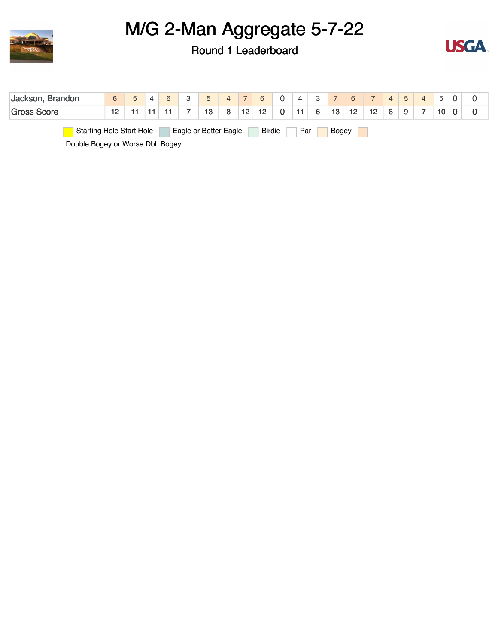



| Jackson, Brandon                 | 6  | $\overline{4}$ |  | 5                     | $\overline{4}$ | 7  | 6 <sup>1</sup>  | $\overline{0}$ | $\overline{A}$ | $\overline{\mathbf{3}}$ |              |    |    | $4 \mid 5$ |    |  |
|----------------------------------|----|----------------|--|-----------------------|----------------|----|-----------------|----------------|----------------|-------------------------|--------------|----|----|------------|----|--|
| <b>Gross Score</b>               | 12 |                |  | 13                    | 8              | 12 | 12 <sup>2</sup> | $\mathbf{0}$   | 11             | 6                       | 13           | 12 | 12 |            | 10 |  |
| <b>Starting Hole Start Hole</b>  |    |                |  | Eagle or Better Eagle |                |    | Birdie          |                | Par            |                         | <b>Bogey</b> |    |    |            |    |  |
| Double Bogey or Worse Dbl. Bogey |    |                |  |                       |                |    |                 |                |                |                         |              |    |    |            |    |  |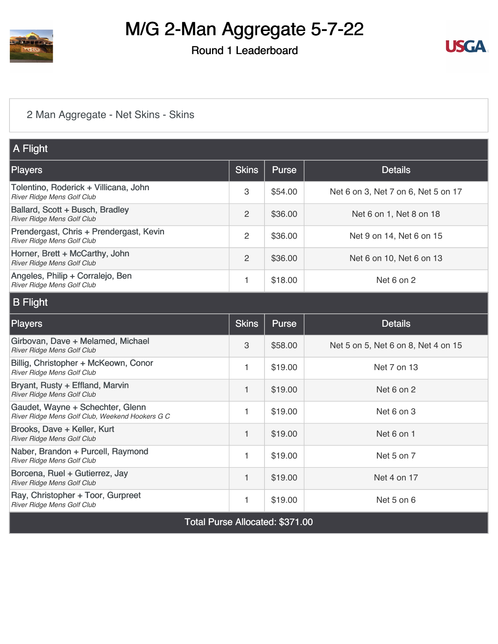

#### Round 1 Leaderboard



#### [2 Man Aggregate - Net Skins - Skins](https://static.golfgenius.com/v2tournaments/8454594466471232415?called_from=&round_index=1)

| A Flight                                                                            |                           |              |                                     |
|-------------------------------------------------------------------------------------|---------------------------|--------------|-------------------------------------|
| Players                                                                             | <b>Skins</b>              | <b>Purse</b> | <b>Details</b>                      |
| Tolentino, Roderick + Villicana, John<br>River Ridge Mens Golf Club                 | $\,3$                     | \$54.00      | Net 6 on 3, Net 7 on 6, Net 5 on 17 |
| Ballard, Scott + Busch, Bradley<br>River Ridge Mens Golf Club                       | 2                         | \$36.00      | Net 6 on 1, Net 8 on 18             |
| Prendergast, Chris + Prendergast, Kevin<br>River Ridge Mens Golf Club               | $\overline{c}$            | \$36.00      | Net 9 on 14, Net 6 on 15            |
| Horner, Brett + McCarthy, John<br>River Ridge Mens Golf Club                        | $\overline{2}$            | \$36.00      | Net 6 on 10, Net 6 on 13            |
| Angeles, Philip + Corralejo, Ben<br>River Ridge Mens Golf Club                      | 1                         | \$18.00      | Net 6 on 2                          |
| <b>B</b> Flight                                                                     |                           |              |                                     |
| Players                                                                             | <b>Skins</b>              | <b>Purse</b> | <b>Details</b>                      |
| Girbovan, Dave + Melamed, Michael<br>River Ridge Mens Golf Club                     | $\ensuremath{\mathsf{3}}$ | \$58.00      | Net 5 on 5, Net 6 on 8, Net 4 on 15 |
| Billig, Christopher + McKeown, Conor<br>River Ridge Mens Golf Club                  | $\mathbf{1}$              | \$19.00      | Net 7 on 13                         |
| Bryant, Rusty + Effland, Marvin<br>River Ridge Mens Golf Club                       | $\mathbf{1}$              | \$19.00      | Net 6 on 2                          |
| Gaudet, Wayne + Schechter, Glenn<br>River Ridge Mens Golf Club, Weekend Hookers G C | $\mathbf{1}$              | \$19.00      | Net 6 on 3                          |
| Brooks, Dave + Keller, Kurt<br>River Ridge Mens Golf Club                           | 1                         | \$19.00      | Net 6 on 1                          |
| Naber, Brandon + Purcell, Raymond<br>River Ridge Mens Golf Club                     | $\mathbf{1}$              | \$19.00      | Net 5 on 7                          |
| Borcena, Ruel + Gutierrez, Jay<br>River Ridge Mens Golf Club                        | 1                         | \$19.00      | Net 4 on 17                         |
| Ray, Christopher + Toor, Gurpreet<br>River Ridge Mens Golf Club                     | 1                         | \$19.00      | Net 5 on 6                          |
| <b>Total Purse Allocated: \$371.00</b>                                              |                           |              |                                     |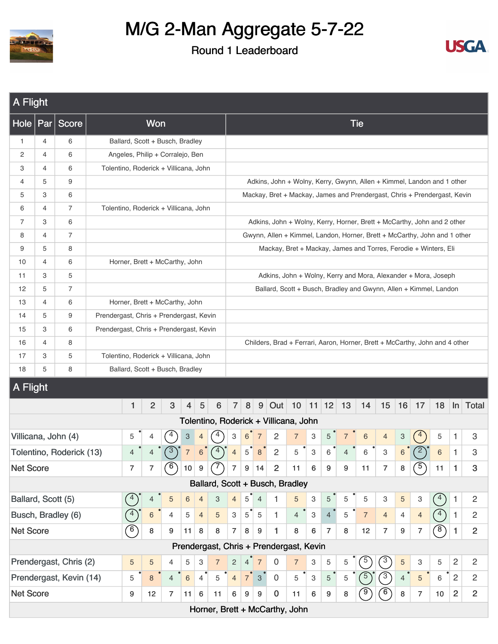



| A Flight                                                                                                                                                                                                                                                                                                                                             |                |                          |                                         |                                       |                |                |                           |                |                |                          |                  |                |                                                                           |                |                           |                  |    |                |                           |                |                  |                |                |                |
|------------------------------------------------------------------------------------------------------------------------------------------------------------------------------------------------------------------------------------------------------------------------------------------------------------------------------------------------------|----------------|--------------------------|-----------------------------------------|---------------------------------------|----------------|----------------|---------------------------|----------------|----------------|--------------------------|------------------|----------------|---------------------------------------------------------------------------|----------------|---------------------------|------------------|----|----------------|---------------------------|----------------|------------------|----------------|----------------|----------------|
| Hole                                                                                                                                                                                                                                                                                                                                                 | $ $ Par        | Score                    |                                         |                                       | Won            |                |                           |                |                |                          |                  |                |                                                                           |                |                           |                  |    | <b>Tie</b>     |                           |                |                  |                |                |                |
| $\mathbf{1}$                                                                                                                                                                                                                                                                                                                                         | $\overline{4}$ | 6                        |                                         | Ballard, Scott + Busch, Bradley       |                |                |                           |                |                |                          |                  |                |                                                                           |                |                           |                  |    |                |                           |                |                  |                |                |                |
| 2                                                                                                                                                                                                                                                                                                                                                    | $\overline{4}$ | 6                        |                                         | Angeles, Philip + Corralejo, Ben      |                |                |                           |                |                |                          |                  |                |                                                                           |                |                           |                  |    |                |                           |                |                  |                |                |                |
| 3                                                                                                                                                                                                                                                                                                                                                    | $\overline{4}$ | 6                        |                                         | Tolentino, Roderick + Villicana, John |                |                |                           |                |                |                          |                  |                |                                                                           |                |                           |                  |    |                |                           |                |                  |                |                |                |
| 4                                                                                                                                                                                                                                                                                                                                                    | 5              | 9                        |                                         |                                       |                |                |                           |                |                |                          |                  |                | Adkins, John + Wolny, Kerry, Gwynn, Allen + Kimmel, Landon and 1 other    |                |                           |                  |    |                |                           |                |                  |                |                |                |
| 5                                                                                                                                                                                                                                                                                                                                                    | 3              | 6                        |                                         |                                       |                |                |                           |                |                |                          |                  |                | Mackay, Bret + Mackay, James and Prendergast, Chris + Prendergast, Kevin  |                |                           |                  |    |                |                           |                |                  |                |                |                |
| 6                                                                                                                                                                                                                                                                                                                                                    | $\overline{4}$ | $\overline{7}$           |                                         | Tolentino, Roderick + Villicana, John |                |                |                           |                |                |                          |                  |                |                                                                           |                |                           |                  |    |                |                           |                |                  |                |                |                |
| $\overline{7}$                                                                                                                                                                                                                                                                                                                                       | 3              | 6                        |                                         |                                       |                |                |                           |                |                |                          |                  |                | Adkins, John + Wolny, Kerry, Horner, Brett + McCarthy, John and 2 other   |                |                           |                  |    |                |                           |                |                  |                |                |                |
| 8                                                                                                                                                                                                                                                                                                                                                    | 4              | 7                        |                                         |                                       |                |                |                           |                |                |                          |                  |                | Gwynn, Allen + Kimmel, Landon, Horner, Brett + McCarthy, John and 1 other |                |                           |                  |    |                |                           |                |                  |                |                |                |
| 9                                                                                                                                                                                                                                                                                                                                                    | 5              | 8                        |                                         |                                       |                |                |                           |                |                |                          |                  |                | Mackay, Bret + Mackay, James and Torres, Ferodie + Winters, Eli           |                |                           |                  |    |                |                           |                |                  |                |                |                |
| 10                                                                                                                                                                                                                                                                                                                                                   | $\overline{4}$ | 6                        |                                         | Horner, Brett + McCarthy, John        |                |                |                           |                |                |                          |                  |                |                                                                           |                |                           |                  |    |                |                           |                |                  |                |                |                |
| 11                                                                                                                                                                                                                                                                                                                                                   | 3              | 5                        |                                         |                                       |                |                |                           |                |                |                          |                  |                | Adkins, John + Wolny, Kerry and Mora, Alexander + Mora, Joseph            |                |                           |                  |    |                |                           |                |                  |                |                |                |
| 12                                                                                                                                                                                                                                                                                                                                                   | 5              | $\overline{7}$           |                                         |                                       |                |                |                           |                |                |                          |                  |                | Ballard, Scott + Busch, Bradley and Gwynn, Allen + Kimmel, Landon         |                |                           |                  |    |                |                           |                |                  |                |                |                |
| 13                                                                                                                                                                                                                                                                                                                                                   | $\overline{4}$ | 6                        |                                         | Horner, Brett + McCarthy, John        |                |                |                           |                |                |                          |                  |                |                                                                           |                |                           |                  |    |                |                           |                |                  |                |                |                |
| 14                                                                                                                                                                                                                                                                                                                                                   | 5              | 9                        | Prendergast, Chris + Prendergast, Kevin |                                       |                |                |                           |                |                |                          |                  |                |                                                                           |                |                           |                  |    |                |                           |                |                  |                |                |                |
| 15                                                                                                                                                                                                                                                                                                                                                   | 3              | 6                        |                                         |                                       |                |                |                           |                |                |                          |                  |                |                                                                           |                |                           |                  |    |                |                           |                |                  |                |                |                |
| 16                                                                                                                                                                                                                                                                                                                                                   | 4              | 8                        |                                         |                                       |                |                |                           |                |                |                          |                  |                |                                                                           |                |                           |                  |    |                |                           |                |                  |                |                |                |
| 17                                                                                                                                                                                                                                                                                                                                                   | 3              | 5                        |                                         |                                       |                |                |                           |                |                |                          |                  |                |                                                                           |                |                           |                  |    |                |                           |                |                  |                |                |                |
| 18                                                                                                                                                                                                                                                                                                                                                   | 5              | 8                        |                                         |                                       |                |                |                           |                |                |                          |                  |                |                                                                           |                |                           |                  |    |                |                           |                |                  |                |                |                |
|                                                                                                                                                                                                                                                                                                                                                      |                |                          |                                         |                                       |                |                |                           |                |                |                          |                  |                |                                                                           |                |                           |                  |    |                |                           |                |                  |                |                |                |
| Prendergast, Chris + Prendergast, Kevin<br>Childers, Brad + Ferrari, Aaron, Horner, Brett + McCarthy, John and 4 other<br>Tolentino, Roderick + Villicana, John<br>Ballard, Scott + Busch, Bradley<br>A Flight<br>5<br>8 <sup>1</sup><br>$9$ Out 10 11 12 13<br>1<br>$\overline{2}$<br>3<br>$6\phantom{1}$<br>$\overline{7}$<br>14<br>$\overline{4}$ |                |                          |                                         |                                       |                |                |                           |                |                |                          |                  |                |                                                                           |                | 15                        | 16               | 17 | 18             |                           | $\ln$ Total    |                  |                |                |                |
|                                                                                                                                                                                                                                                                                                                                                      |                |                          |                                         |                                       |                |                |                           |                |                |                          |                  |                | Tolentino, Roderick + Villicana, John                                     |                |                           |                  |    |                |                           |                |                  |                |                |                |
|                                                                                                                                                                                                                                                                                                                                                      |                | Villicana, John (4)      |                                         | 5                                     | 4              |                | $\ensuremath{\mathsf{3}}$ | 4              |                | 3                        | $6\phantom{1}6$  | $\overline{7}$ | $\overline{c}$                                                            | $\overline{7}$ | 3                         | 5                |    | 6              | $\overline{4}$            | 3              |                  | 5              | 1              | 3              |
|                                                                                                                                                                                                                                                                                                                                                      |                | Tolentino, Roderick (13) |                                         | 4                                     |                |                | $\overline{7}$            | 6              | $\sqrt{4}$     | $\overline{\mathcal{L}}$ | 5                | 8              | $\overline{c}$                                                            | 5              | 3                         | 6                | 4  | 6              | $\ensuremath{\mathsf{3}}$ | 6              | $\left(2\right)$ | 6              | 1              | 3              |
| <b>Net Score</b>                                                                                                                                                                                                                                                                                                                                     |                |                          |                                         | $\overline{7}$                        | $\overline{7}$ | $\circledcirc$ | $10 \mid 9$               |                | (7)            | $\overline{7}$           | $\boldsymbol{9}$ | 14             | $\overline{2}$                                                            | 11             | 6                         | $\boldsymbol{9}$ | 9  | 11             | $\overline{7}$            | $\bf8$         | $\circledcirc$   | 11             | $\mathbf{1}$   | $\mathbf{3}$   |
|                                                                                                                                                                                                                                                                                                                                                      |                |                          |                                         |                                       |                |                |                           |                |                |                          |                  |                | Ballard, Scott + Busch, Bradley                                           |                |                           |                  |    |                |                           |                |                  |                |                |                |
| Ballard, Scott (5)                                                                                                                                                                                                                                                                                                                                   |                |                          |                                         | 4                                     | $\overline{4}$ | 5              | 6                         | $\overline{4}$ | 3              | $\overline{4}$           | 5 <sup>2</sup>   | $\overline{4}$ | 1                                                                         | 5              | 3                         | 5                | 5  | 5              | 3                         | 5              | 3                | $\binom{4}{ }$ | 1.             | $\overline{c}$ |
|                                                                                                                                                                                                                                                                                                                                                      |                | Busch, Bradley (6)       |                                         |                                       | $\,$ 6 $\,$    | 4              | 5                         | $\overline{4}$ | $\overline{5}$ | $\mathbf{3}$             | $5^{\degree}$    | 5              | 1                                                                         | $\overline{4}$ | $\ensuremath{\mathsf{3}}$ | $\overline{4}$   | 5  | $\overline{7}$ | $\overline{4}$            | $\overline{4}$ | $\overline{4}$   | $\sqrt{4}$     | 1              | $\overline{c}$ |
| <b>Net Score</b>                                                                                                                                                                                                                                                                                                                                     |                |                          |                                         | $\binom{6}{ }$                        | 8              | 9              | 11                        | 8              | 8              | $\overline{7}$           | 8                | 9              | 1                                                                         | 8              | 6                         | $\overline{7}$   | 8  | 12             | $\overline{7}$            | 9              | $\overline{7}$   | $\circ$        | $\mathbf{1}$   | $\overline{2}$ |
|                                                                                                                                                                                                                                                                                                                                                      |                |                          |                                         |                                       |                |                |                           |                |                |                          |                  |                | Prendergast, Chris + Prendergast, Kevin                                   |                |                           |                  |    |                |                           |                |                  |                |                |                |
|                                                                                                                                                                                                                                                                                                                                                      |                | Prendergast, Chris (2)   |                                         | $\sqrt{5}$                            | $\sqrt{5}$     | 4              | 5                         | 3              | $\overline{7}$ | $\mathbf{2}$             | 4                | $\overline{7}$ | 0                                                                         | $\overline{7}$ | 3                         | 5                | 5  | $\sqrt{5}$     | $\sqrt{3}$                | 5              | 3                | 5              | $\overline{c}$ | $\overline{2}$ |
|                                                                                                                                                                                                                                                                                                                                                      |                | Prendergast, Kevin (14)  |                                         | 5                                     | $\,8\,$        | 4              | $6\phantom{1}$            | $\overline{4}$ | 5              | $\overline{4}$           | 7 <sup>1</sup>   | $\mathbf{3}$   | $\mathbf 0$                                                               | 5              | 3                         | $5\phantom{.0}$  | 5  | $\frac{1}{5}$  | $\binom{3}{ }$            | 4              | 5                | 6              | $\overline{c}$ | $\mathbf{2}$   |
| <b>Net Score</b>                                                                                                                                                                                                                                                                                                                                     |                |                          |                                         | 9                                     | 12             | $\overline{7}$ | 11                        | 6              | 11             | 6                        | 9                | 9              | $\bf{0}$                                                                  | 11             | 6                         | 9                | 8  |                | 6                         | 8              | $\overline{7}$   | 10             | $\overline{2}$ | $\overline{2}$ |
|                                                                                                                                                                                                                                                                                                                                                      |                |                          |                                         |                                       |                |                |                           |                |                |                          |                  |                | Horner, Brett + McCarthy, John                                            |                |                           |                  |    |                |                           |                |                  |                |                |                |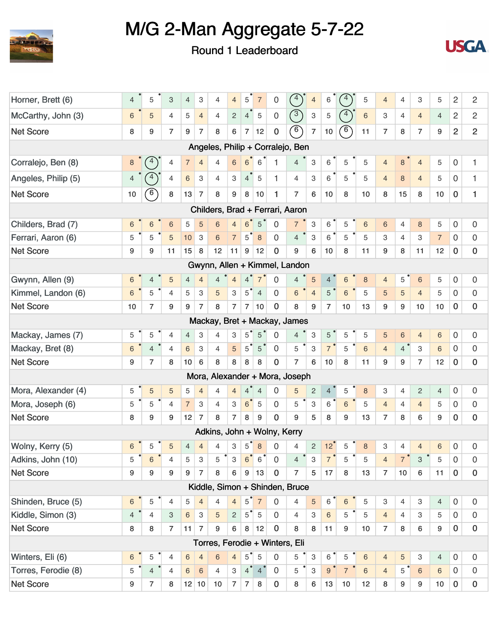



| Horner, Brett (6)   | $\overline{4}$ | 5               | 3              | $\overline{4}$ | 3              | 4                           | $\overline{4}$            | 5                        | $\overline{7}$ | 0            | $\binom{4}{ }$                   | $\overline{4}$            | 6              | $\overline{4}$ | 5     | $\overline{4}$ | $\overline{4}$ | 3              | 5               | 2                   | $\overline{c}$ |
|---------------------|----------------|-----------------|----------------|----------------|----------------|-----------------------------|---------------------------|--------------------------|----------------|--------------|----------------------------------|---------------------------|----------------|----------------|-------|----------------|----------------|----------------|-----------------|---------------------|----------------|
| McCarthy, John (3)  | 6              | 5               | 4              | 5              | $\overline{4}$ | 4                           | $\overline{c}$            | $\overline{4}$           | $\mathbf 5$    | 0            | $\binom{3}{ }$                   | $\ensuremath{\mathsf{3}}$ | 5              | $\binom{4}{ }$ | $\,6$ | 3              | $\overline{4}$ | $\overline{4}$ | $\overline{4}$  | 2                   | $\overline{c}$ |
| <b>Net Score</b>    | 8              | 9               | $\overline{7}$ | 9              | 7              | 8                           | 6                         | $\overline{7}$           | 12             | $\bf{0}$     | $\sqrt{6}$                       | $\overline{7}$            | 10             | $\circ$        | 11    | $\overline{7}$ | 8              | $\overline{7}$ | 9               | $\overline{2}$      | $\overline{2}$ |
|                     |                |                 |                |                |                |                             |                           |                          |                |              | Angeles, Philip + Corralejo, Ben |                           |                |                |       |                |                |                |                 |                     |                |
| Corralejo, Ben (8)  | 8              | 4               | 4              | $\overline{7}$ | $\overline{4}$ | $\overline{4}$              | $6\phantom{a}$            | $6\phantom{1}6$          | 6              | 1            | $\overline{4}$                   | 3                         | 6              | 5              | 5     | $\overline{4}$ | 8              | $\overline{4}$ | 5               | 0                   | 1              |
| Angeles, Philip (5) | 4              | 4               | 4              | 6              | 3              | $\overline{4}$              | $\,3$                     | $\overline{4}$           | 5              | $\mathbf{1}$ | $\overline{4}$                   | 3                         | $6\,$          | 5              | 5     | $\overline{4}$ | $\bf 8$        | $\overline{4}$ | 5               | 0                   | $\mathbf{1}$   |
| <b>Net Score</b>    | 10             | $6^{\circ}$     | 8              | 13             | $\overline{7}$ | 8                           | 9                         | 8                        | 10             | 1            | $\overline{7}$                   | 6                         | 10             | 8              | 10    | 8              | 15             | 8              | 10              | $\mathbf 0$         | 1              |
|                     |                |                 |                |                |                |                             |                           |                          |                |              | Childers, Brad + Ferrari, Aaron  |                           |                |                |       |                |                |                |                 |                     |                |
| Childers, Brad (7)  | 6              | $6\phantom{1}6$ | 6              | 5              | 5              | 6                           | $\overline{4}$            | 6 <sup>2</sup>           | 5              | $\Omega$     | $\overline{7}$                   | 3                         | 6              | 5              | 6     | 6              | $\overline{4}$ | 8              | 5               | 0                   | 0              |
| Ferrari, Aaron (6)  | 5              | 5               | 5              | 10             | $\mathbf{3}$   | 6                           | $\overline{7}$            | $5^{\degree}$            | 8              | $\mathbf 0$  | $\overline{4}$                   | $\mathbf{3}$              | 6              | 5              | 5     | 3              | $\overline{4}$ | 3              | $\overline{7}$  | $\mathbf 0$         | $\mathbf{0}$   |
| <b>Net Score</b>    | 9              | 9               | 11             | 15             | 8              | 12                          | 11                        | $\boldsymbol{9}$         | 12             | $\mathbf 0$  | 9                                | 6                         | 10             | 8              | 11    | 9              | 8              | 11             | 12              | $\mathbf 0$         | $\mathbf 0$    |
|                     |                |                 |                |                |                |                             |                           |                          |                |              | Gwynn, Allen + Kimmel, Landon    |                           |                |                |       |                |                |                |                 |                     |                |
| Gwynn, Allen (9)    | 6              | 4               | 5              | 4              | $\overline{4}$ | $\overline{4}$              | $\overline{4}$            | $\overline{4}$           | $\overline{7}$ | 0            | $\overline{4}$                   | 5                         | $\overline{4}$ | 6              | 8     | $\overline{4}$ | 5              | $\sqrt{6}$     | 5               | 0                   | 0              |
| Kimmel, Landon (6)  | 6              | 5               | $\overline{4}$ | 5              | 3              | 5                           | 3                         | $5^{\circ}$              | $\overline{4}$ | 0            | $6\,$                            | $\overline{4}$            | 5              | 6              | 5     | 5              | 5              | $\overline{4}$ | 5               | 0                   | 0              |
| <b>Net Score</b>    | 10             | $\overline{7}$  | 9              | 9              | 7              | 8                           | $\overline{7}$            | $\overline{7}$           | 10             | $\bf{0}$     | 8                                | 9                         | $\overline{7}$ | 10             | 13    | 9              | 9              | 10             | 10              | $\mathbf 0$         | 0              |
|                     |                |                 |                |                |                |                             |                           |                          |                |              | Mackay, Bret + Mackay, James     |                           |                |                |       |                |                |                |                 |                     |                |
| Mackay, James (7)   | 5              | 5               | $\overline{4}$ | $\overline{4}$ | 3              | 4                           | 3                         | $5^{\circ}$              | 5              | $\Omega$     | $\overline{4}$                   | 3                         | $\overline{5}$ | 5              | 5     | 5              | 6              | $\overline{4}$ | 6               | $\mathbf 0$         | 0              |
| Mackay, Bret (8)    | 6              | $\overline{4}$  | $\overline{4}$ | $\,$ 6 $\,$    | 3              | $\overline{4}$              | 5                         | $\overline{5}^{\bullet}$ | $\sqrt{5}$     | $\mathbf 0$  | 5                                | 3                         | $\overline{7}$ | 5              | 6     | $\overline{4}$ | $4^{\circ}$    | 3              | $\,6\,$         | $\mathbf 0$         | $\mathbf 0$    |
| <b>Net Score</b>    | 9              | $\overline{7}$  | 8              | 10             | 6              | 8                           | 8                         | 8                        | 8              | $\bf{0}$     | $\overline{7}$                   | 6                         | 10             | 8              | 11    | 9              | 9              | $\overline{7}$ | 12              | 0                   | 0              |
|                     |                |                 |                |                |                |                             |                           |                          |                |              | Mora, Alexander + Mora, Joseph   |                           |                |                |       |                |                |                |                 |                     |                |
| Mora, Alexander (4) | 5              | 5               | 5              | 5              | $\overline{4}$ | $\overline{4}$              | $\overline{4}$            | $\overline{4}$           | $\overline{4}$ | $\Omega$     | 5                                | $\overline{c}$            | $\overline{4}$ | 5              | 8     | 3              | $\overline{4}$ | $\overline{2}$ | $\overline{4}$  | $\boldsymbol{0}$    | 0              |
| Mora, Joseph (6)    | 5              | 5               | $\overline{4}$ | $\overline{7}$ | 3              | $\overline{4}$              | 3                         | 6 <sup>7</sup>           | $\mathbf 5$    | $\mathbf 0$  | 5                                | 3                         | $6^{\circ}$    | $6\phantom{1}$ | 5     | $\overline{4}$ | $\overline{4}$ | $\overline{4}$ | 5               | 0                   | 0              |
| <b>Net Score</b>    | 8              | 9               | 9              | 12             | $\overline{7}$ | 8                           | $\overline{7}$            | 8                        | 9              | $\Omega$     | 9                                | 5                         | 8              | 9              | 13    | $\overline{7}$ | 8              | 6              | 9               | $\mathbf 0$         | $\mathbf 0$    |
|                     |                |                 |                |                |                | Adkins, John + Wolny, Kerry |                           |                          |                |              |                                  |                           |                |                |       |                |                |                |                 |                     |                |
| Wolny, Kerry (5)    | 6              | 5               | 5              | 4              | $\overline{4}$ | $\overline{4}$              | З                         | $\overline{5}$           | 8              | 0            | 4                                | $\overline{c}$            | 12             | 5              | 8     | 3              | $\overline{4}$ | $\overline{4}$ | 6               | $\mathbf 0$         | 0              |
| Adkins, John (10)   | 5              | 6               | 4              | 5              | 3              | 5                           | 3                         | 6                        | 6              | 0            | 4                                | 3                         | $\overline{7}$ | 5              | 5     | $\overline{4}$ | $\overline{7}$ | 3              | 5               | 0                   | 0              |
| <b>Net Score</b>    | 9              | 9               | 9              | 9              | $\overline{7}$ | 8                           | 6                         | 9                        | 13             | $\mathbf 0$  | $\overline{7}$                   | 5                         | 17             | 8              | 13    | $\overline{7}$ | 10             | 6              | 11              | $\mathbf 0$         | $\pmb{0}$      |
|                     |                |                 |                |                |                |                             |                           |                          |                |              | Kiddle, Simon + Shinden, Bruce   |                           |                |                |       |                |                |                |                 |                     |                |
| Shinden, Bruce (5)  | 6              | 5               | 4              | 5              | 4              | $\overline{4}$              | 4                         | $5^{\circ}$              | $\overline{7}$ | 0            | 4                                | 5                         | $\,6\,$        | $\,6\,$        | 5     | 3              | 4              | 3              | 4               | $\mathsf{O}\xspace$ | 0              |
| Kiddle, Simon (3)   | $\overline{4}$ | 4               | 3              | 6              | 3              | 5                           | $\overline{c}$            | $5^{\degree}$            | $\sqrt{5}$     | $\mathbf 0$  | 4                                | 3                         | 6              | 5              | 5     | $\overline{4}$ | $\overline{4}$ | З              | 5               | 0                   | $\bf 0$        |
| <b>Net Score</b>    | 8              | 8               | $\overline{7}$ | 11             | $\overline{7}$ | 9                           | 6                         | 8                        | 12             | $\mathbf 0$  | 8                                | 8                         | 11             | 9              | 10    | $\overline{7}$ | 8              | 6              | 9               | $\mathbf 0$         | $\bf{0}$       |
|                     |                |                 |                |                |                |                             |                           |                          |                |              | Torres, Ferodie + Winters, Eli   |                           |                |                |       |                |                |                |                 |                     |                |
| Winters, Eli (6)    | 6              | 5               | $\overline{4}$ | 6              | $\overline{4}$ | $\sqrt{6}$                  | $\overline{4}$            | $5^{\degree}$            | 5              | 0            | 5                                | $\ensuremath{\mathsf{3}}$ | 6              | 5              | 6     | $\overline{4}$ | $\sqrt{5}$     | 3              | $\overline{4}$  | $\mathbf 0$         | 0              |
| Torres, Ferodie (8) | 5              | $\overline{4}$  | $\overline{4}$ | 6              | 6              | $\overline{4}$              | $\ensuremath{\mathsf{3}}$ | $4^{\degree}$            | $\overline{4}$ | 0            | 5                                | 3                         | 9 <sup>°</sup> | $\overline{7}$ | 6     | $\overline{4}$ | 5              | 6              | 6               | 0                   | 0              |
| <b>Net Score</b>    | 9              | 7               | 8              |                | 12 10          | 10                          | $\overline{7}$            | $\overline{7}$           | 8              | $\bf{0}$     | 8                                | 6                         | 13             | 10             | 12    | 8              | 9              | 9              | 10 <sup>°</sup> | $\mathbf 0$         | $\bf{0}$       |
|                     |                |                 |                |                |                |                             |                           |                          |                |              |                                  |                           |                |                |       |                |                |                |                 |                     |                |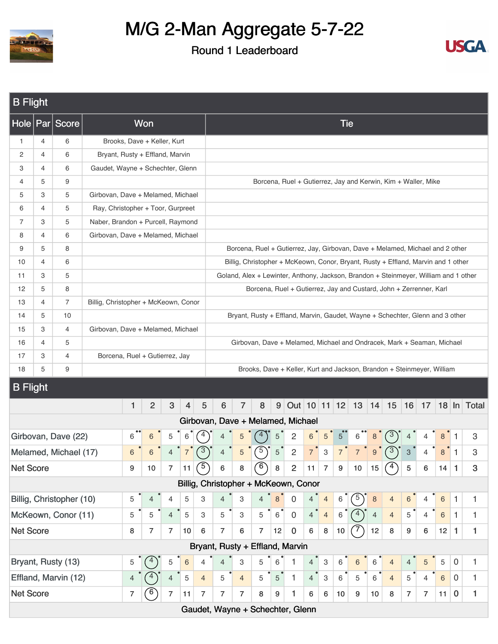



| <b>B</b> Flight                                                                                                                                                                                                                                                                                                                                                                                          |                                                                                                                                                                                     |                          |                                   |   |                |                |                 |                |                                      |                           |                                                                                      |                 |                |                |                           |                 |                  |                  |                                                               |                |                |         |              |              |
|----------------------------------------------------------------------------------------------------------------------------------------------------------------------------------------------------------------------------------------------------------------------------------------------------------------------------------------------------------------------------------------------------------|-------------------------------------------------------------------------------------------------------------------------------------------------------------------------------------|--------------------------|-----------------------------------|---|----------------|----------------|-----------------|----------------|--------------------------------------|---------------------------|--------------------------------------------------------------------------------------|-----------------|----------------|----------------|---------------------------|-----------------|------------------|------------------|---------------------------------------------------------------|----------------|----------------|---------|--------------|--------------|
|                                                                                                                                                                                                                                                                                                                                                                                                          |                                                                                                                                                                                     | Hole Par Score           |                                   |   | <b>Won</b>     |                |                 |                |                                      |                           |                                                                                      |                 |                |                |                           | <b>Tie</b>      |                  |                  |                                                               |                |                |         |              |              |
| $\mathbf{1}$                                                                                                                                                                                                                                                                                                                                                                                             | $\overline{4}$                                                                                                                                                                      | 6                        | Brooks, Dave + Keller, Kurt       |   |                |                |                 |                |                                      |                           |                                                                                      |                 |                |                |                           |                 |                  |                  |                                                               |                |                |         |              |              |
| $\overline{c}$                                                                                                                                                                                                                                                                                                                                                                                           | 4                                                                                                                                                                                   | 6                        | Bryant, Rusty + Effland, Marvin   |   |                |                |                 |                |                                      |                           |                                                                                      |                 |                |                |                           |                 |                  |                  |                                                               |                |                |         |              |              |
| 3                                                                                                                                                                                                                                                                                                                                                                                                        | $\overline{4}$                                                                                                                                                                      | 6                        | Gaudet, Wayne + Schechter, Glenn  |   |                |                |                 |                |                                      |                           |                                                                                      |                 |                |                |                           |                 |                  |                  |                                                               |                |                |         |              |              |
| 4                                                                                                                                                                                                                                                                                                                                                                                                        | 5                                                                                                                                                                                   | 9                        |                                   |   |                |                |                 |                |                                      |                           |                                                                                      |                 |                |                |                           |                 |                  |                  | Borcena, Ruel + Gutierrez, Jay and Kerwin, Kim + Waller, Mike |                |                |         |              |              |
| 5                                                                                                                                                                                                                                                                                                                                                                                                        | 3                                                                                                                                                                                   | 5                        | Girbovan, Dave + Melamed, Michael |   |                |                |                 |                |                                      |                           |                                                                                      |                 |                |                |                           |                 |                  |                  |                                                               |                |                |         |              |              |
| 6                                                                                                                                                                                                                                                                                                                                                                                                        | 4                                                                                                                                                                                   | 5                        | Ray, Christopher + Toor, Gurpreet |   |                |                |                 |                |                                      |                           |                                                                                      |                 |                |                |                           |                 |                  |                  |                                                               |                |                |         |              |              |
| 7                                                                                                                                                                                                                                                                                                                                                                                                        | 3                                                                                                                                                                                   | 5                        | Naber, Brandon + Purcell, Raymond |   |                |                |                 |                |                                      |                           |                                                                                      |                 |                |                |                           |                 |                  |                  |                                                               |                |                |         |              |              |
| 8                                                                                                                                                                                                                                                                                                                                                                                                        | 4                                                                                                                                                                                   | 6                        | Girbovan, Dave + Melamed, Michael |   |                |                |                 |                |                                      |                           |                                                                                      |                 |                |                |                           |                 |                  |                  |                                                               |                |                |         |              |              |
| 9                                                                                                                                                                                                                                                                                                                                                                                                        | 5                                                                                                                                                                                   | 8                        |                                   |   |                |                |                 |                |                                      |                           | Borcena, Ruel + Gutierrez, Jay, Girbovan, Dave + Melamed, Michael and 2 other        |                 |                |                |                           |                 |                  |                  |                                                               |                |                |         |              |              |
| 10                                                                                                                                                                                                                                                                                                                                                                                                       | 4                                                                                                                                                                                   | 6                        |                                   |   |                |                |                 |                |                                      |                           | Billig, Christopher + McKeown, Conor, Bryant, Rusty + Effland, Marvin and 1 other    |                 |                |                |                           |                 |                  |                  |                                                               |                |                |         |              |              |
| 11                                                                                                                                                                                                                                                                                                                                                                                                       | 3                                                                                                                                                                                   | 5                        |                                   |   |                |                |                 |                |                                      |                           | Goland, Alex + Lewinter, Anthony, Jackson, Brandon + Steinmeyer, William and 1 other |                 |                |                |                           |                 |                  |                  |                                                               |                |                |         |              |              |
| 5<br>8<br>12<br>Borcena, Ruel + Gutierrez, Jay and Custard, John + Zerrenner, Karl<br>7<br>13<br>$\overline{4}$<br>Billig, Christopher + McKeown, Conor<br>5<br>10<br>Bryant, Rusty + Effland, Marvin, Gaudet, Wayne + Schechter, Glenn and 3 other<br>14<br>3<br>4<br>Girbovan, Dave + Melamed, Michael<br>15<br>5<br>4<br>Girbovan, Dave + Melamed, Michael and Ondracek, Mark + Seaman, Michael<br>16 |                                                                                                                                                                                     |                          |                                   |   |                |                |                 |                |                                      |                           |                                                                                      |                 |                |                |                           |                 |                  |                  |                                                               |                |                |         |              |              |
|                                                                                                                                                                                                                                                                                                                                                                                                          |                                                                                                                                                                                     |                          |                                   |   |                |                |                 |                |                                      |                           |                                                                                      |                 |                |                |                           |                 |                  |                  |                                                               |                |                |         |              |              |
|                                                                                                                                                                                                                                                                                                                                                                                                          |                                                                                                                                                                                     |                          |                                   |   |                |                |                 |                |                                      |                           |                                                                                      |                 |                |                |                           |                 |                  |                  |                                                               |                |                |         |              |              |
|                                                                                                                                                                                                                                                                                                                                                                                                          |                                                                                                                                                                                     |                          |                                   |   |                |                |                 |                |                                      |                           |                                                                                      |                 |                |                |                           |                 |                  |                  |                                                               |                |                |         |              |              |
|                                                                                                                                                                                                                                                                                                                                                                                                          |                                                                                                                                                                                     |                          |                                   |   |                |                |                 |                |                                      |                           |                                                                                      |                 |                |                |                           |                 |                  |                  |                                                               |                |                |         |              |              |
|                                                                                                                                                                                                                                                                                                                                                                                                          |                                                                                                                                                                                     |                          |                                   |   |                |                |                 |                |                                      |                           |                                                                                      |                 |                |                |                           |                 |                  |                  |                                                               |                |                |         |              |              |
|                                                                                                                                                                                                                                                                                                                                                                                                          | 3<br>17<br>4<br>Borcena, Ruel + Gutierrez, Jay<br>5<br>9<br>Brooks, Dave + Keller, Kurt and Jackson, Brandon + Steinmeyer, William<br>18<br><b>B</b> Flight<br>9 Out 10 11 12 13 14 |                          |                                   |   |                |                |                 |                |                                      |                           |                                                                                      |                 |                |                |                           |                 |                  |                  |                                                               |                |                |         |              |              |
|                                                                                                                                                                                                                                                                                                                                                                                                          |                                                                                                                                                                                     |                          |                                   |   |                |                |                 |                |                                      |                           |                                                                                      |                 |                |                |                           |                 |                  |                  |                                                               |                |                |         |              |              |
|                                                                                                                                                                                                                                                                                                                                                                                                          |                                                                                                                                                                                     |                          |                                   | 1 | $\overline{2}$ | 3              | 4               | 5              | 6                                    | $\overline{7}$            | 8                                                                                    |                 |                |                |                           |                 |                  |                  | 15                                                            | 16             | 17             |         |              | 18 In Total  |
|                                                                                                                                                                                                                                                                                                                                                                                                          |                                                                                                                                                                                     |                          |                                   |   |                |                |                 |                | Girbovan, Dave + Melamed, Michael    |                           |                                                                                      |                 |                |                |                           |                 |                  |                  |                                                               |                |                |         |              |              |
|                                                                                                                                                                                                                                                                                                                                                                                                          |                                                                                                                                                                                     | Girbovan, Dave (22)      |                                   | 6 | 6              | 5              | 6               |                |                                      | 5                         |                                                                                      | $\mathbf 5$     | $\sqrt{2}$     | $6\,$          | $\sqrt{5}$                | $5\overline{)}$ | 6                |                  |                                                               |                |                |         |              | 3            |
|                                                                                                                                                                                                                                                                                                                                                                                                          |                                                                                                                                                                                     | Melamed, Michael (17)    |                                   | 6 | 6              |                |                 |                |                                      | 5                         | $\overline{5}$                                                                       | 5               | $\overline{c}$ | $7^{\degree}$  | $\mathbf{3}$              | $\overline{7}$  | $\overline{7}$   | 9                |                                                               | 3              |                |         |              | 3            |
| <b>Net Score</b>                                                                                                                                                                                                                                                                                                                                                                                         |                                                                                                                                                                                     |                          |                                   | 9 | 10             | $\overline{7}$ | 11              | $\circ$        | 6                                    | 8                         | $\circ$                                                                              | $\bf 8$         | $\overline{2}$ | 11             | $\overline{7}$            | 9               | 10 <sub>1</sub>  | 15               | (4)                                                           | $\overline{5}$ | 6              | 14      | $\mathbf{1}$ | $\mathbf{3}$ |
|                                                                                                                                                                                                                                                                                                                                                                                                          |                                                                                                                                                                                     |                          |                                   |   |                |                |                 |                | Billig, Christopher + McKeown, Conor |                           |                                                                                      |                 |                |                |                           |                 |                  |                  |                                                               |                |                |         |              |              |
|                                                                                                                                                                                                                                                                                                                                                                                                          |                                                                                                                                                                                     | Billig, Christopher (10) |                                   | 5 | 4              | $\overline{4}$ | 5               | 3              | $\overline{4}$                       | $\ensuremath{\mathsf{3}}$ | 4                                                                                    | 8               | $\mathbf 0$    | 4              | $\overline{4}$            | 6.              | $\left(5\right)$ | $\boldsymbol{8}$ | 4                                                             | 6              | 4              | $6\,$   | $\mathbf{1}$ | 1            |
|                                                                                                                                                                                                                                                                                                                                                                                                          |                                                                                                                                                                                     | McKeown, Conor (11)      |                                   | 5 | 5              | $\overline{4}$ | 5               | 3              | 5                                    | 3                         | 5                                                                                    | $6^{\circ}$     | $\overline{0}$ | $\overline{4}$ | $\overline{4}$            | 6               | $^{\prime}$ 4)   | $\overline{4}$   | $\overline{4}$                                                | 5              | $\overline{4}$ | $\,6\,$ | $\mathbf{1}$ | 1            |
| <b>Net Score</b>                                                                                                                                                                                                                                                                                                                                                                                         |                                                                                                                                                                                     |                          |                                   | 8 | $\overline{7}$ | 7              | 10 <sup>1</sup> | 6              | $\overline{7}$                       | 6                         | 7                                                                                    | 12              | $\mathbf 0$    | 6              | 8                         | 10              |                  | 12               | 8                                                             | 9              | 6              | 12      | $\mathbf{1}$ | 1            |
|                                                                                                                                                                                                                                                                                                                                                                                                          |                                                                                                                                                                                     |                          |                                   |   |                |                |                 |                | Bryant, Rusty + Effland, Marvin      |                           |                                                                                      |                 |                |                |                           |                 |                  |                  |                                                               |                |                |         |              |              |
|                                                                                                                                                                                                                                                                                                                                                                                                          |                                                                                                                                                                                     | Bryant, Rusty (13)       |                                   | 5 | $4^{\circ}$    | 5              | $\,$ 6 $\,$     | 4              | $\overline{4}$                       | 3                         | 5                                                                                    | 6               | 1              | $\overline{4}$ | $\ensuremath{\mathsf{3}}$ | 6               | 6                | 6                | 4                                                             | 4              | 5              | 5       | $\mathbf 0$  | 1            |
|                                                                                                                                                                                                                                                                                                                                                                                                          |                                                                                                                                                                                     | Effland, Marvin (12)     |                                   | 4 |                | $\overline{4}$ | 5               | $\overline{4}$ | 5                                    | $\overline{4}$            | 5                                                                                    | $5\overline{)}$ | $\mathbf{1}$   | $\overline{4}$ | 3                         | 6               | 5                | 6                | $\overline{4}$                                                | 5              | $\overline{4}$ | 6       | $\mathbf 0$  | 1            |
| <b>Net Score</b>                                                                                                                                                                                                                                                                                                                                                                                         |                                                                                                                                                                                     |                          |                                   | 7 | $6^{\circ}$    | $\overline{7}$ | 11              | $\overline{7}$ | $\overline{7}$                       | $\overline{7}$            | 8                                                                                    | 9               | 1              | 6              | 6                         | 10              | 9                | 10               | 8                                                             | $\overline{7}$ | $\overline{7}$ | 11      | $\bf{0}$     | 1            |
|                                                                                                                                                                                                                                                                                                                                                                                                          |                                                                                                                                                                                     |                          |                                   |   |                |                |                 |                | Gaudet, Wayne + Schechter, Glenn     |                           |                                                                                      |                 |                |                |                           |                 |                  |                  |                                                               |                |                |         |              |              |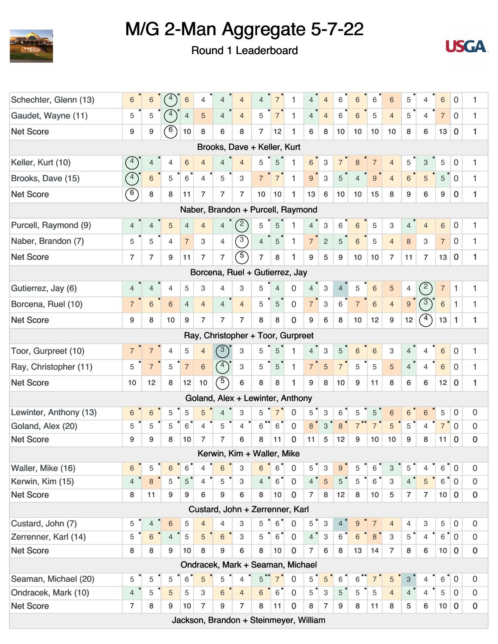



| Schechter, Glenn (13)                                                                                                                                                                                                                                                                                                                                                                                                                                                                                                                          | 6                                                                                                                                                                                                                                                                                                                                                                                                                                                                                                                                                                                                                                                                                                  | 6              | 4               | 6              | 4              | 4              | $\overline{4}$                         | 4              | $\overline{7}$  | 1              | 4              | $\overline{4}$            | 6               | 6              | 6              | 6              | 5               | 4              | 6               | 0              | 1                   |
|------------------------------------------------------------------------------------------------------------------------------------------------------------------------------------------------------------------------------------------------------------------------------------------------------------------------------------------------------------------------------------------------------------------------------------------------------------------------------------------------------------------------------------------------|----------------------------------------------------------------------------------------------------------------------------------------------------------------------------------------------------------------------------------------------------------------------------------------------------------------------------------------------------------------------------------------------------------------------------------------------------------------------------------------------------------------------------------------------------------------------------------------------------------------------------------------------------------------------------------------------------|----------------|-----------------|----------------|----------------|----------------|----------------------------------------|----------------|-----------------|----------------|----------------|---------------------------|-----------------|----------------|----------------|----------------|-----------------|----------------|-----------------|----------------|---------------------|
| Gaudet, Wayne (11)                                                                                                                                                                                                                                                                                                                                                                                                                                                                                                                             | 5                                                                                                                                                                                                                                                                                                                                                                                                                                                                                                                                                                                                                                                                                                  | 5              |                 | 4              | 5              | $\overline{4}$ | $\overline{4}$                         | 5              | $\overline{7}$  | 1              | $\overline{4}$ | $\overline{4}$            | 6               | 6              | 5              | $\overline{4}$ | 5               | $\overline{4}$ | $\overline{7}$  | $\mathbf{0}$   | 1                   |
| <b>Net Score</b>                                                                                                                                                                                                                                                                                                                                                                                                                                                                                                                               | 9                                                                                                                                                                                                                                                                                                                                                                                                                                                                                                                                                                                                                                                                                                  | 9              | 6               | 10             | 8              | 6              | 8                                      | 7              | 12              | 1              | 6              | 8                         | 10              | 10             | 10             | 10             | 8               | 6              | 13              | $\bf{0}$       | 1                   |
|                                                                                                                                                                                                                                                                                                                                                                                                                                                                                                                                                |                                                                                                                                                                                                                                                                                                                                                                                                                                                                                                                                                                                                                                                                                                    |                |                 |                |                |                | Brooks, Dave + Keller, Kurt            |                |                 |                |                |                           |                 |                |                |                |                 |                |                 |                |                     |
| Keller, Kurt (10)                                                                                                                                                                                                                                                                                                                                                                                                                                                                                                                              | 4                                                                                                                                                                                                                                                                                                                                                                                                                                                                                                                                                                                                                                                                                                  | 4              | 4               | 6              | $\overline{4}$ | $\overline{4}$ | $\overline{4}$                         | 5              | 5               | $\mathbf{1}$   | 6              | $\ensuremath{\mathsf{3}}$ | $\overline{7}$  | 8              | $\overline{7}$ | $\overline{4}$ | 5               | 3              | 5               | 0              | 1                   |
| Brooks, Dave (15)                                                                                                                                                                                                                                                                                                                                                                                                                                                                                                                              | $\binom{4}{ }$                                                                                                                                                                                                                                                                                                                                                                                                                                                                                                                                                                                                                                                                                     | $\,6\,$        | 5               | 6              | $\overline{4}$ | 5              | 3                                      | $\overline{7}$ | 7 <sup>1</sup>  | $\mathbf{1}$   | 9              | $\mathbf{3}$              | 5               | $\overline{4}$ | 9              | $\overline{4}$ | $6\overline{6}$ | 5              | $5\phantom{.0}$ | $\overline{0}$ | 1                   |
| <b>Net Score</b>                                                                                                                                                                                                                                                                                                                                                                                                                                                                                                                               | $6^{\circ}$                                                                                                                                                                                                                                                                                                                                                                                                                                                                                                                                                                                                                                                                                        | 8              | 8               | 11             | $\overline{7}$ | $\overline{7}$ | $\overline{7}$                         | 10             | 10              | 1              | 13             | 6                         | 10 <sup>1</sup> | 10             | 15             | 8              | 9               | 6              | 9               | $\mathbf{0}$   | 1                   |
|                                                                                                                                                                                                                                                                                                                                                                                                                                                                                                                                                |                                                                                                                                                                                                                                                                                                                                                                                                                                                                                                                                                                                                                                                                                                    |                |                 |                |                |                | Naber, Brandon + Purcell, Raymond      |                |                 |                |                |                           |                 |                |                |                |                 |                |                 |                |                     |
| Purcell, Raymond (9)                                                                                                                                                                                                                                                                                                                                                                                                                                                                                                                           | $\overline{4}$                                                                                                                                                                                                                                                                                                                                                                                                                                                                                                                                                                                                                                                                                     | $\overline{4}$ | 5               | $\overline{4}$ | $\overline{4}$ | $\overline{4}$ | $^{\prime}$ 2                          | 5              | 5               | 1              | $\overline{4}$ | $\mathbf{3}$              | 6               | 6              | 5              | 3              | $\overline{4}$  | $\overline{4}$ | $6\,$           | 0              | 1                   |
| Naber, Brandon (7)                                                                                                                                                                                                                                                                                                                                                                                                                                                                                                                             | 5                                                                                                                                                                                                                                                                                                                                                                                                                                                                                                                                                                                                                                                                                                  | 5              | 4               | $\overline{7}$ | 3              | 4              | $\binom{3}{ }$                         | 4              | 5               | $\mathbf{1}$   | 7 <sup>1</sup> | $\sqrt{2}$                | 5               | 6              | 5              | $\overline{4}$ | 8               | 3              | $\overline{7}$  | 0              | 1                   |
| <b>Net Score</b>                                                                                                                                                                                                                                                                                                                                                                                                                                                                                                                               | $\overline{7}$                                                                                                                                                                                                                                                                                                                                                                                                                                                                                                                                                                                                                                                                                     | $\overline{7}$ | 9               | 11             | $\overline{7}$ | $\overline{7}$ | $\bigcirc$                             | $\overline{7}$ | 8               | 1              | 9              | 5                         | 9               | 10             | 10             | $\overline{7}$ | 11              | $\overline{7}$ | 13              | $\bf{0}$       | 1                   |
|                                                                                                                                                                                                                                                                                                                                                                                                                                                                                                                                                |                                                                                                                                                                                                                                                                                                                                                                                                                                                                                                                                                                                                                                                                                                    |                |                 |                |                |                | Borcena, Ruel + Gutierrez, Jay         |                |                 |                |                |                           |                 |                |                |                |                 |                |                 |                |                     |
| Gutierrez, Jay (6)                                                                                                                                                                                                                                                                                                                                                                                                                                                                                                                             | $\left( \frac{2}{2} \right)$<br>$\overline{0}$<br>$\ensuremath{\mathsf{3}}$<br>3<br>3<br>$\,$ 6<br>5<br>$\overline{7}$<br>1<br>5<br>4<br>5<br>$\overline{4}$<br>$\overline{4}$<br>5<br>1.<br>4<br>$\overline{4}$<br>4<br>4<br>4<br>$\binom{3}{}$<br>$\mathsf 3$<br>$\,$ 6 $\,$<br>$\mathbf 0$<br>$6^{\circ}$<br>$\overline{7}$<br>$\,6$<br>$\sqrt{6}$<br>$\overline{4}$<br>$\overline{4}$<br>$\overline{4}$<br>$\overline{4}$<br>5<br>5<br>$\overline{7}$<br>$6\phantom{1}6$<br>1<br>$\overline{7}$<br>$\overline{4}$<br>$9^{\circ}$<br>1<br>$4^{\circ}$<br>$\bf{0}$<br>1<br>8<br>$\overline{7}$<br>7<br>$\overline{7}$<br>8<br>8<br>9<br>6<br>8<br>12<br>12<br>13<br>9<br>10<br>9<br>10<br>9<br>1 |                |                 |                |                |                |                                        |                |                 |                |                |                           |                 |                |                |                |                 |                |                 |                |                     |
| Borcena, Ruel (10)                                                                                                                                                                                                                                                                                                                                                                                                                                                                                                                             |                                                                                                                                                                                                                                                                                                                                                                                                                                                                                                                                                                                                                                                                                                    |                |                 |                |                |                |                                        |                |                 |                |                |                           |                 |                |                |                |                 |                |                 |                |                     |
| <b>Net Score</b>                                                                                                                                                                                                                                                                                                                                                                                                                                                                                                                               |                                                                                                                                                                                                                                                                                                                                                                                                                                                                                                                                                                                                                                                                                                    |                |                 |                |                |                |                                        |                |                 |                |                |                           |                 |                |                |                |                 |                |                 |                |                     |
| Ray, Christopher + Toor, Gurpreet<br>$3^{\circ}$<br>3<br>$\ensuremath{\mathsf{3}}$<br>5<br>5<br>1<br>5<br>$\,6\,$<br>3<br>$6\,$<br>$\mathbf 0$<br>1<br>$\overline{7}$<br>$\overline{4}$<br>5<br>$\overline{4}$<br>$\overline{7}$<br>4<br>6<br>$\overline{4}$<br>4<br>$\binom{4}{ }$<br>$\overline{7}$<br>$\overline{7}$<br>$\,6\,$<br>$\ensuremath{\mathsf{3}}$<br>7 <sup>1</sup><br>$\overline{5}$<br>5<br>$\,6\,$<br>5<br>5<br>5<br>1<br>7 <sup>1</sup><br>5<br>5<br>$\overline{4}$<br>$\overline{4}$<br>$\mathbf{1}$<br>5<br>$\overline{0}$ |                                                                                                                                                                                                                                                                                                                                                                                                                                                                                                                                                                                                                                                                                                    |                |                 |                |                |                |                                        |                |                 |                |                |                           |                 |                |                |                |                 |                |                 |                |                     |
|                                                                                                                                                                                                                                                                                                                                                                                                                                                                                                                                                |                                                                                                                                                                                                                                                                                                                                                                                                                                                                                                                                                                                                                                                                                                    |                |                 |                |                |                |                                        |                |                 |                |                |                           |                 |                |                |                |                 |                |                 |                |                     |
| $\sqrt{5}$<br>8<br>6<br>8<br>1<br>9<br>6<br>1<br>12<br>12<br>10<br>8<br>8<br>10<br>9<br>11<br>8<br>6<br>12<br>10<br>$\bf{0}$                                                                                                                                                                                                                                                                                                                                                                                                                   |                                                                                                                                                                                                                                                                                                                                                                                                                                                                                                                                                                                                                                                                                                    |                |                 |                |                |                |                                        |                |                 |                |                |                           |                 |                |                |                |                 |                |                 |                |                     |
| <b>Net Score</b>                                                                                                                                                                                                                                                                                                                                                                                                                                                                                                                               |                                                                                                                                                                                                                                                                                                                                                                                                                                                                                                                                                                                                                                                                                                    |                |                 |                |                |                |                                        |                |                 |                |                |                           |                 |                |                |                |                 |                |                 |                |                     |
| Toor, Gurpreet (10)<br>Ray, Christopher (11)<br>Goland, Alex + Lewinter, Anthony                                                                                                                                                                                                                                                                                                                                                                                                                                                               |                                                                                                                                                                                                                                                                                                                                                                                                                                                                                                                                                                                                                                                                                                    |                |                 |                |                |                |                                        |                |                 |                |                |                           |                 |                |                |                |                 |                |                 |                |                     |
| Lewinter, Anthony (13)                                                                                                                                                                                                                                                                                                                                                                                                                                                                                                                         | 6                                                                                                                                                                                                                                                                                                                                                                                                                                                                                                                                                                                                                                                                                                  | 6              | 5               | 5              | 5              | $\overline{4}$ | 3                                      | 5              | $\overline{7}$  | $\overline{0}$ | 5              | $\ensuremath{\mathsf{3}}$ | 6               | 5              | $\sqrt{5}$     | 6              | 6               | 6              | 5               | 0              | $\mathbf 0$         |
| Goland, Alex (20)                                                                                                                                                                                                                                                                                                                                                                                                                                                                                                                              | 5                                                                                                                                                                                                                                                                                                                                                                                                                                                                                                                                                                                                                                                                                                  | 5              | 5               | 6              | $\overline{4}$ | 5              | 4                                      | 6              | 6               | $\overline{0}$ | 8 <sup>°</sup> | $\mathbf{3}$              | 8               | $\overline{7}$ | $\overline{7}$ | 5              | 5               | 4              | $\overline{7}$  | $\Omega$       | $\mathbf 0$         |
| <b>Net Score</b>                                                                                                                                                                                                                                                                                                                                                                                                                                                                                                                               | 9                                                                                                                                                                                                                                                                                                                                                                                                                                                                                                                                                                                                                                                                                                  | 9              | 8               | 10             | 7              | 7              | 6                                      | 8              | 11              | $\bf{0}$       | 11             | 5                         | 12              | 9              | 10             | 10             | 9               | 8              | 11              | $\mathbf 0$    | $\boldsymbol{0}$    |
|                                                                                                                                                                                                                                                                                                                                                                                                                                                                                                                                                |                                                                                                                                                                                                                                                                                                                                                                                                                                                                                                                                                                                                                                                                                                    |                |                 |                |                |                | Kerwin, Kim + Waller, Mike             |                |                 |                |                |                           |                 |                |                |                |                 |                |                 |                |                     |
| Waller, Mike (16)                                                                                                                                                                                                                                                                                                                                                                                                                                                                                                                              | 6                                                                                                                                                                                                                                                                                                                                                                                                                                                                                                                                                                                                                                                                                                  | 5              | 6               | 6              | 4              | 6              | 3                                      | 6              | 6               | 0              | 5              | 3                         | 9               | 5              | 6              | 3              | 5               | 4              | 6               | 0              | 0                   |
| Kerwin, Kim (15)                                                                                                                                                                                                                                                                                                                                                                                                                                                                                                                               | $\overline{4}$                                                                                                                                                                                                                                                                                                                                                                                                                                                                                                                                                                                                                                                                                     | $8\phantom{1}$ | 5               | 5              | $\overline{4}$ | 5              | 3                                      | $\overline{4}$ | $6^{\degree}$   | $\mathbf 0$    | 4 <sup>°</sup> | $\overline{5}$            | 5               | $\sqrt{5}$     | 6              | 3              | $\overline{4}$  | 5              | 6               | $\mathbf 0$    | $\mathbf 0$         |
| <b>Net Score</b>                                                                                                                                                                                                                                                                                                                                                                                                                                                                                                                               | 8                                                                                                                                                                                                                                                                                                                                                                                                                                                                                                                                                                                                                                                                                                  | 11             | 9               | 9              | 6              | 9              | 6                                      | 8              | 10              | 0              | 7              | 8                         | 12 <sub>2</sub> | 8              | 10             | 5              | $\overline{7}$  | $\overline{7}$ | 10              | $\bf{0}$       | $\pmb{0}$           |
|                                                                                                                                                                                                                                                                                                                                                                                                                                                                                                                                                |                                                                                                                                                                                                                                                                                                                                                                                                                                                                                                                                                                                                                                                                                                    |                |                 |                |                |                | Custard, John + Zerrenner, Karl        |                |                 |                |                |                           |                 |                |                |                |                 |                |                 |                |                     |
| Custard, John (7)                                                                                                                                                                                                                                                                                                                                                                                                                                                                                                                              | 5                                                                                                                                                                                                                                                                                                                                                                                                                                                                                                                                                                                                                                                                                                  | 4              | $6\phantom{1}6$ | 5              | $\overline{4}$ | 4              | 3                                      | 5              | 6               | 0              | 5              | $\sqrt{3}$                | $\overline{4}$  | 9              | $\overline{7}$ | $\overline{4}$ | 4               | 3              | 5               | 0              | $\mathbf 0$         |
| Zerrenner, Karl (14)                                                                                                                                                                                                                                                                                                                                                                                                                                                                                                                           | 5                                                                                                                                                                                                                                                                                                                                                                                                                                                                                                                                                                                                                                                                                                  | 6              | $\overline{4}$  | 5              | 5              | $6\phantom{a}$ | $\ensuremath{\mathsf{3}}$              | 5              | 6 <sup>′</sup>  | $\mathbf 0$    | $4^{\degree}$  | $\mathbf{3}$              | 6               | 6              | 8              | 3              | $5^{\degree}$   | $\overline{4}$ | $\,6\,$         | $\mathbf 0$    | $\mathsf{O}\xspace$ |
| <b>Net Score</b>                                                                                                                                                                                                                                                                                                                                                                                                                                                                                                                               | 8                                                                                                                                                                                                                                                                                                                                                                                                                                                                                                                                                                                                                                                                                                  | 8              | 9               | 10             | 8              | 9              | 6                                      | 8              | 10 <sub>1</sub> | $\mathbf 0$    | $\overline{7}$ | 6                         | 8               | 13             | 14             | $\overline{7}$ | 8               | 6              | 10              | $\mathbf 0$    | $\bf{0}$            |
|                                                                                                                                                                                                                                                                                                                                                                                                                                                                                                                                                |                                                                                                                                                                                                                                                                                                                                                                                                                                                                                                                                                                                                                                                                                                    |                |                 |                |                |                | Ondracek, Mark + Seaman, Michael       |                |                 |                |                |                           |                 |                |                |                |                 |                |                 |                |                     |
| Seaman, Michael (20)                                                                                                                                                                                                                                                                                                                                                                                                                                                                                                                           | 5                                                                                                                                                                                                                                                                                                                                                                                                                                                                                                                                                                                                                                                                                                  | 5              | 5               | 6              | 5              | 5              | 4                                      | 5              | $\overline{7}$  | $\overline{0}$ | 5              | $\sqrt{5}$                | $\,6$           | 6              | $\overline{7}$ | 5              | $\mathbf{3}$    | 4              | 6               | $\overline{0}$ | $\mathbf 0$         |
| Ondracek, Mark (10)                                                                                                                                                                                                                                                                                                                                                                                                                                                                                                                            | $\overline{4}$                                                                                                                                                                                                                                                                                                                                                                                                                                                                                                                                                                                                                                                                                     | 5              | $\overline{5}$  | 5              | 3              | 6              | $\overline{4}$                         | 6              | 6               | $\overline{0}$ | 5              | $\mathbf{3}$              | 5               | 5              | 5              | $\overline{4}$ | $4^{\degree}$   | $\overline{4}$ | 5               | $\mathbf{0}$   | $\boldsymbol{0}$    |
| <b>Net Score</b>                                                                                                                                                                                                                                                                                                                                                                                                                                                                                                                               | $\overline{7}$                                                                                                                                                                                                                                                                                                                                                                                                                                                                                                                                                                                                                                                                                     | 8              | 9               | 10             | $\overline{7}$ | 9              | $\overline{7}$                         | 8              | 11              | $\mathbf 0$    | 8              | $\overline{7}$            | 9               | 8              | 11             | 8              | 5               | 6              | 10 <sub>1</sub> | $\mathbf 0$    | $\bf{0}$            |
|                                                                                                                                                                                                                                                                                                                                                                                                                                                                                                                                                |                                                                                                                                                                                                                                                                                                                                                                                                                                                                                                                                                                                                                                                                                                    |                |                 |                |                |                | Jackson, Brandon + Steinmeyer, William |                |                 |                |                |                           |                 |                |                |                |                 |                |                 |                |                     |